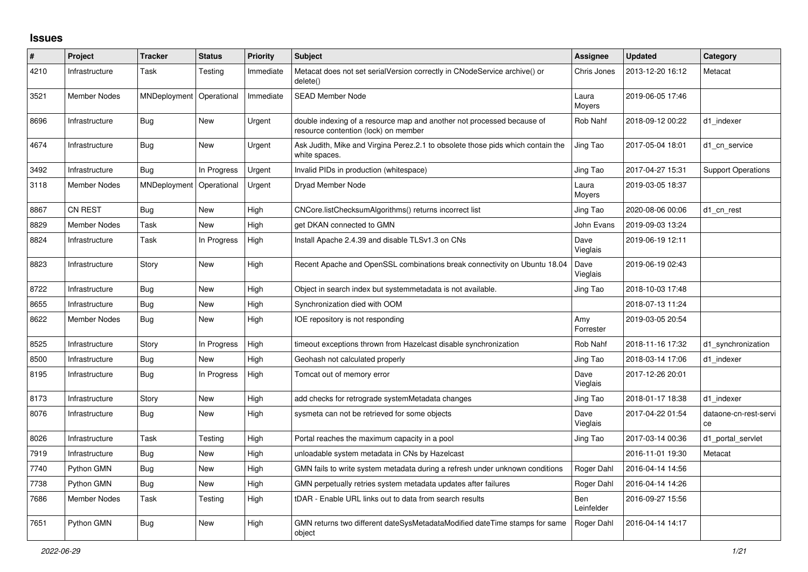## **Issues**

| $\#$ | Project             | <b>Tracker</b>           | <b>Status</b> | Priority  | <b>Subject</b>                                                                                                 | Assignee          | <b>Updated</b>   | Category                    |
|------|---------------------|--------------------------|---------------|-----------|----------------------------------------------------------------------------------------------------------------|-------------------|------------------|-----------------------------|
| 4210 | Infrastructure      | Task                     | Testing       | Immediate | Metacat does not set serialVersion correctly in CNodeService archive() or<br>delete()                          | Chris Jones       | 2013-12-20 16:12 | Metacat                     |
| 3521 | Member Nodes        | MNDeployment             | Operational   | Immediate | <b>SEAD Member Node</b>                                                                                        | Laura<br>Moyers   | 2019-06-05 17:46 |                             |
| 8696 | Infrastructure      | <b>Bug</b>               | <b>New</b>    | Urgent    | double indexing of a resource map and another not processed because of<br>resource contention (lock) on member | Rob Nahf          | 2018-09-12 00:22 | d1 indexer                  |
| 4674 | Infrastructure      | Bug                      | <b>New</b>    | Urgent    | Ask Judith, Mike and Virgina Perez.2.1 to obsolete those pids which contain the<br>white spaces.               | Jing Tao          | 2017-05-04 18:01 | d1 cn service               |
| 3492 | Infrastructure      | Bug                      | In Progress   | Urgent    | Invalid PIDs in production (whitespace)                                                                        | Jing Tao          | 2017-04-27 15:31 | <b>Support Operations</b>   |
| 3118 | <b>Member Nodes</b> | MNDeployment Operational |               | Urgent    | Dryad Member Node                                                                                              | Laura<br>Moyers   | 2019-03-05 18:37 |                             |
| 8867 | <b>CN REST</b>      | <b>Bug</b>               | <b>New</b>    | High      | CNCore.listChecksumAlgorithms() returns incorrect list                                                         | Jing Tao          | 2020-08-06 00:06 | d1_cn_rest                  |
| 8829 | <b>Member Nodes</b> | Task                     | <b>New</b>    | High      | get DKAN connected to GMN                                                                                      | John Evans        | 2019-09-03 13:24 |                             |
| 8824 | Infrastructure      | Task                     | In Progress   | High      | Install Apache 2.4.39 and disable TLSv1.3 on CNs                                                               | Dave<br>Vieglais  | 2019-06-19 12:11 |                             |
| 8823 | Infrastructure      | Story                    | <b>New</b>    | High      | Recent Apache and OpenSSL combinations break connectivity on Ubuntu 18.04                                      | Dave<br>Vieglais  | 2019-06-19 02:43 |                             |
| 8722 | Infrastructure      | <b>Bug</b>               | <b>New</b>    | High      | Object in search index but systemmetadata is not available.                                                    | Jing Tao          | 2018-10-03 17:48 |                             |
| 8655 | Infrastructure      | Bug                      | <b>New</b>    | High      | Synchronization died with OOM                                                                                  |                   | 2018-07-13 11:24 |                             |
| 8622 | <b>Member Nodes</b> | <b>Bug</b>               | <b>New</b>    | High      | IOE repository is not responding                                                                               | Amy<br>Forrester  | 2019-03-05 20:54 |                             |
| 8525 | Infrastructure      | Story                    | In Progress   | High      | timeout exceptions thrown from Hazelcast disable synchronization                                               | Rob Nahf          | 2018-11-16 17:32 | d1_synchronization          |
| 8500 | Infrastructure      | Bug                      | <b>New</b>    | High      | Geohash not calculated properly                                                                                | Jing Tao          | 2018-03-14 17:06 | d1 indexer                  |
| 8195 | Infrastructure      | <b>Bug</b>               | In Progress   | High      | Tomcat out of memory error                                                                                     | Dave<br>Vieglais  | 2017-12-26 20:01 |                             |
| 8173 | Infrastructure      | Story                    | New           | High      | add checks for retrograde systemMetadata changes                                                               | Jing Tao          | 2018-01-17 18:38 | d1 indexer                  |
| 8076 | Infrastructure      | <b>Bug</b>               | New           | High      | sysmeta can not be retrieved for some objects                                                                  | Dave<br>Vieglais  | 2017-04-22 01:54 | dataone-cn-rest-servi<br>ce |
| 8026 | Infrastructure      | Task                     | Testing       | High      | Portal reaches the maximum capacity in a pool                                                                  | Jing Tao          | 2017-03-14 00:36 | d1_portal_servlet           |
| 7919 | Infrastructure      | <b>Bug</b>               | <b>New</b>    | High      | unloadable system metadata in CNs by Hazelcast                                                                 |                   | 2016-11-01 19:30 | Metacat                     |
| 7740 | Python GMN          | Bug                      | New           | High      | GMN fails to write system metadata during a refresh under unknown conditions                                   | Roger Dahl        | 2016-04-14 14:56 |                             |
| 7738 | Python GMN          | Bug                      | New           | High      | GMN perpetually retries system metadata updates after failures                                                 | Roger Dahl        | 2016-04-14 14:26 |                             |
| 7686 | <b>Member Nodes</b> | Task                     | Testing       | High      | tDAR - Enable URL links out to data from search results                                                        | Ben<br>Leinfelder | 2016-09-27 15:56 |                             |
| 7651 | Python GMN          | Bug                      | <b>New</b>    | High      | GMN returns two different dateSysMetadataModified dateTime stamps for same<br>object                           | Roger Dahl        | 2016-04-14 14:17 |                             |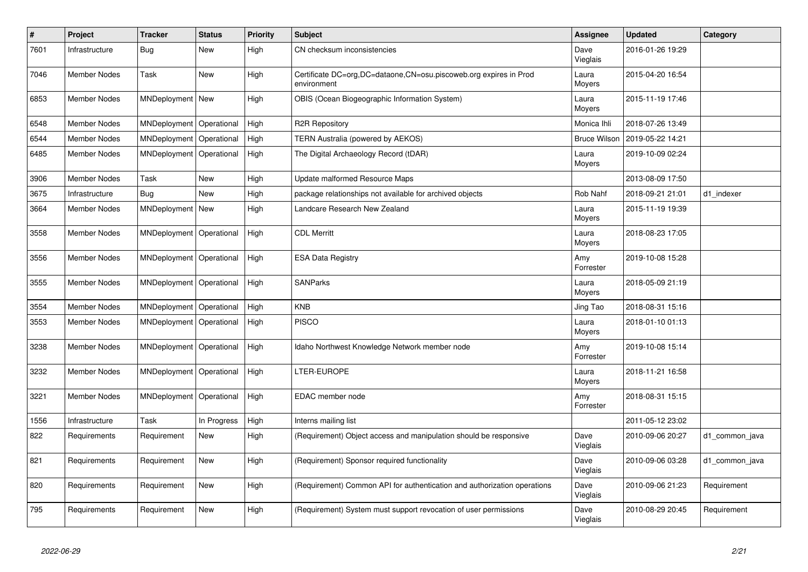| $\vert$ # | Project             | <b>Tracker</b>     | <b>Status</b> | <b>Priority</b> | <b>Subject</b>                                                                   | Assignee            | <b>Updated</b>   | Category       |
|-----------|---------------------|--------------------|---------------|-----------------|----------------------------------------------------------------------------------|---------------------|------------------|----------------|
| 7601      | Infrastructure      | Bug                | <b>New</b>    | High            | CN checksum inconsistencies                                                      | Dave<br>Vieglais    | 2016-01-26 19:29 |                |
| 7046      | <b>Member Nodes</b> | Task               | <b>New</b>    | High            | Certificate DC=org,DC=dataone,CN=osu.piscoweb.org expires in Prod<br>environment | Laura<br>Moyers     | 2015-04-20 16:54 |                |
| 6853      | <b>Member Nodes</b> | MNDeployment   New |               | High            | OBIS (Ocean Biogeographic Information System)                                    | Laura<br>Moyers     | 2015-11-19 17:46 |                |
| 6548      | <b>Member Nodes</b> | MNDeployment       | Operational   | High            | <b>R2R Repository</b>                                                            | Monica Ihli         | 2018-07-26 13:49 |                |
| 6544      | <b>Member Nodes</b> | MNDeployment       | Operational   | High            | TERN Australia (powered by AEKOS)                                                | <b>Bruce Wilson</b> | 2019-05-22 14:21 |                |
| 6485      | Member Nodes        | MNDeployment       | Operational   | High            | The Digital Archaeology Record (tDAR)                                            | Laura<br>Moyers     | 2019-10-09 02:24 |                |
| 3906      | <b>Member Nodes</b> | Task               | New           | High            | Update malformed Resource Maps                                                   |                     | 2013-08-09 17:50 |                |
| 3675      | Infrastructure      | Bug                | <b>New</b>    | High            | package relationships not available for archived objects                         | Rob Nahf            | 2018-09-21 21:01 | d1_indexer     |
| 3664      | Member Nodes        | MNDeployment       | New           | High            | Landcare Research New Zealand                                                    | Laura<br>Moyers     | 2015-11-19 19:39 |                |
| 3558      | <b>Member Nodes</b> | MNDeployment       | Operational   | High            | <b>CDL Merritt</b>                                                               | Laura<br>Moyers     | 2018-08-23 17:05 |                |
| 3556      | <b>Member Nodes</b> | MNDeployment       | Operational   | High            | <b>ESA Data Registry</b>                                                         | Amy<br>Forrester    | 2019-10-08 15:28 |                |
| 3555      | Member Nodes        | MNDeployment       | Operational   | High            | <b>SANParks</b>                                                                  | Laura<br>Moyers     | 2018-05-09 21:19 |                |
| 3554      | Member Nodes        | MNDeployment       | Operational   | High            | <b>KNB</b>                                                                       | Jing Tao            | 2018-08-31 15:16 |                |
| 3553      | <b>Member Nodes</b> | MNDeployment       | Operational   | High            | <b>PISCO</b>                                                                     | Laura<br>Moyers     | 2018-01-10 01:13 |                |
| 3238      | <b>Member Nodes</b> | MNDeployment       | Operational   | High            | Idaho Northwest Knowledge Network member node                                    | Amy<br>Forrester    | 2019-10-08 15:14 |                |
| 3232      | <b>Member Nodes</b> | MNDeployment       | Operational   | High            | LTER-EUROPE                                                                      | Laura<br>Moyers     | 2018-11-21 16:58 |                |
| 3221      | <b>Member Nodes</b> | MNDeployment       | Operational   | High            | EDAC member node                                                                 | Amy<br>Forrester    | 2018-08-31 15:15 |                |
| 1556      | Infrastructure      | Task               | In Progress   | High            | Interns mailing list                                                             |                     | 2011-05-12 23:02 |                |
| 822       | Requirements        | Requirement        | New           | High            | (Requirement) Object access and manipulation should be responsive                | Dave<br>Vieglais    | 2010-09-06 20:27 | d1 common java |
| 821       | Requirements        | Requirement        | <b>New</b>    | High            | (Requirement) Sponsor required functionality                                     | Dave<br>Vieglais    | 2010-09-06 03:28 | d1_common_java |
| 820       | Requirements        | Requirement        | <b>New</b>    | High            | (Requirement) Common API for authentication and authorization operations         | Dave<br>Vieglais    | 2010-09-06 21:23 | Requirement    |
| 795       | Requirements        | Requirement        | <b>New</b>    | High            | (Requirement) System must support revocation of user permissions                 | Dave<br>Vieglais    | 2010-08-29 20:45 | Requirement    |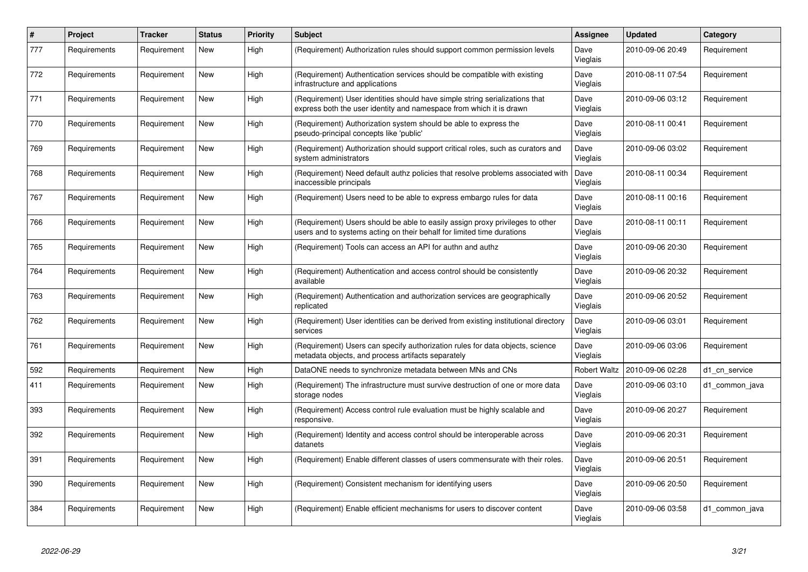| $\pmb{\#}$ | <b>Project</b> | <b>Tracker</b> | <b>Status</b> | <b>Priority</b> | <b>Subject</b>                                                                                                                                          | Assignee            | <b>Updated</b>   | Category       |
|------------|----------------|----------------|---------------|-----------------|---------------------------------------------------------------------------------------------------------------------------------------------------------|---------------------|------------------|----------------|
| 777        | Requirements   | Requirement    | New           | High            | (Requirement) Authorization rules should support common permission levels                                                                               | Dave<br>Vieglais    | 2010-09-06 20:49 | Requirement    |
| 772        | Requirements   | Requirement    | <b>New</b>    | High            | (Requirement) Authentication services should be compatible with existing<br>infrastructure and applications                                             | Dave<br>Vieglais    | 2010-08-11 07:54 | Requirement    |
| 771        | Requirements   | Requirement    | <b>New</b>    | High            | (Requirement) User identities should have simple string serializations that<br>express both the user identity and namespace from which it is drawn      | Dave<br>Vieglais    | 2010-09-06 03:12 | Requirement    |
| 770        | Requirements   | Requirement    | New           | High            | (Requirement) Authorization system should be able to express the<br>pseudo-principal concepts like 'public'                                             | Dave<br>Vieglais    | 2010-08-11 00:41 | Requirement    |
| 769        | Requirements   | Requirement    | New           | High            | (Requirement) Authorization should support critical roles, such as curators and<br>system administrators                                                | Dave<br>Vieglais    | 2010-09-06 03:02 | Requirement    |
| 768        | Requirements   | Requirement    | <b>New</b>    | High            | (Requirement) Need default authz policies that resolve problems associated with<br>inaccessible principals                                              | Dave<br>Vieglais    | 2010-08-11 00:34 | Requirement    |
| 767        | Requirements   | Requirement    | New           | High            | (Requirement) Users need to be able to express embargo rules for data                                                                                   | Dave<br>Vieglais    | 2010-08-11 00:16 | Requirement    |
| 766        | Requirements   | Requirement    | New           | High            | (Requirement) Users should be able to easily assign proxy privileges to other<br>users and to systems acting on their behalf for limited time durations | Dave<br>Vieglais    | 2010-08-11 00:11 | Requirement    |
| 765        | Requirements   | Requirement    | New           | High            | (Requirement) Tools can access an API for authn and authz                                                                                               | Dave<br>Vieglais    | 2010-09-06 20:30 | Requirement    |
| 764        | Requirements   | Requirement    | New           | High            | (Requirement) Authentication and access control should be consistently<br>available                                                                     | Dave<br>Vieglais    | 2010-09-06 20:32 | Requirement    |
| 763        | Requirements   | Requirement    | New           | High            | (Requirement) Authentication and authorization services are geographically<br>replicated                                                                | Dave<br>Vieglais    | 2010-09-06 20:52 | Requirement    |
| 762        | Requirements   | Requirement    | <b>New</b>    | High            | (Requirement) User identities can be derived from existing institutional directory<br>services                                                          | Dave<br>Vieglais    | 2010-09-06 03:01 | Requirement    |
| 761        | Requirements   | Requirement    | New           | High            | (Requirement) Users can specify authorization rules for data objects, science<br>metadata objects, and process artifacts separately                     | Dave<br>Vieglais    | 2010-09-06 03:06 | Requirement    |
| 592        | Requirements   | Requirement    | New           | High            | DataONE needs to synchronize metadata between MNs and CNs                                                                                               | <b>Robert Waltz</b> | 2010-09-06 02:28 | d1 cn service  |
| 411        | Requirements   | Requirement    | New           | High            | (Requirement) The infrastructure must survive destruction of one or more data<br>storage nodes                                                          | Dave<br>Vieglais    | 2010-09-06 03:10 | d1 common java |
| 393        | Requirements   | Requirement    | New           | High            | (Requirement) Access control rule evaluation must be highly scalable and<br>responsive.                                                                 | Dave<br>Vieglais    | 2010-09-06 20:27 | Requirement    |
| 392        | Requirements   | Requirement    | New           | High            | (Requirement) Identity and access control should be interoperable across<br>datanets                                                                    | Dave<br>Vieglais    | 2010-09-06 20:31 | Requirement    |
| 391        | Requirements   | Requirement    | <b>New</b>    | High            | (Requirement) Enable different classes of users commensurate with their roles.                                                                          | Dave<br>Vieglais    | 2010-09-06 20:51 | Requirement    |
| 390        | Requirements   | Requirement    | New           | High            | (Requirement) Consistent mechanism for identifying users                                                                                                | Dave<br>Vieglais    | 2010-09-06 20:50 | Requirement    |
| 384        | Requirements   | Requirement    | New           | High            | (Requirement) Enable efficient mechanisms for users to discover content                                                                                 | Dave<br>Vieglais    | 2010-09-06 03:58 | d1 common java |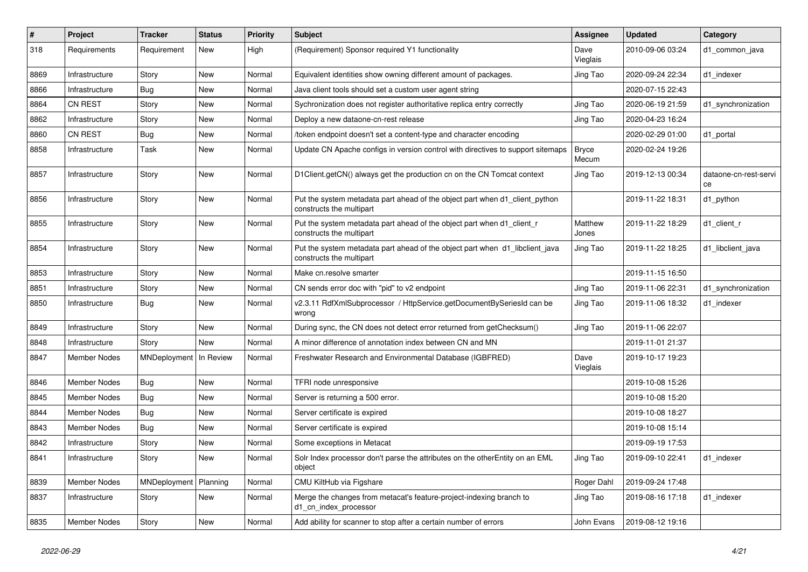| #    | <b>Project</b>      | <b>Tracker</b>          | <b>Status</b> | <b>Priority</b> | Subject                                                                                                  | <b>Assignee</b>       | <b>Updated</b>   | Category                    |
|------|---------------------|-------------------------|---------------|-----------------|----------------------------------------------------------------------------------------------------------|-----------------------|------------------|-----------------------------|
| 318  | Requirements        | Requirement             | New           | High            | (Requirement) Sponsor required Y1 functionality                                                          | Dave<br>Vieglais      | 2010-09-06 03:24 | d1_common_java              |
| 8869 | Infrastructure      | Story                   | New           | Normal          | Equivalent identities show owning different amount of packages.                                          | Jing Tao              | 2020-09-24 22:34 | d1 indexer                  |
| 8866 | Infrastructure      | Bug                     | New           | Normal          | Java client tools should set a custom user agent string                                                  |                       | 2020-07-15 22:43 |                             |
| 8864 | <b>CN REST</b>      | Story                   | <b>New</b>    | Normal          | Sychronization does not register authoritative replica entry correctly                                   | Jing Tao              | 2020-06-19 21:59 | d1_synchronization          |
| 8862 | Infrastructure      | Story                   | New           | Normal          | Deploy a new dataone-cn-rest release                                                                     | Jing Tao              | 2020-04-23 16:24 |                             |
| 8860 | <b>CN REST</b>      | <b>Bug</b>              | <b>New</b>    | Normal          | /token endpoint doesn't set a content-type and character encoding                                        |                       | 2020-02-29 01:00 | d1_portal                   |
| 8858 | Infrastructure      | Task                    | New           | Normal          | Update CN Apache configs in version control with directives to support sitemaps                          | <b>Bryce</b><br>Mecum | 2020-02-24 19:26 |                             |
| 8857 | Infrastructure      | Story                   | New           | Normal          | D1Client.getCN() always get the production cn on the CN Tomcat context                                   | Jing Tao              | 2019-12-13 00:34 | dataone-cn-rest-servi<br>ce |
| 8856 | Infrastructure      | Story                   | New           | Normal          | Put the system metadata part ahead of the object part when d1_client_python<br>constructs the multipart  |                       | 2019-11-22 18:31 | d1_python                   |
| 8855 | Infrastructure      | Story                   | New           | Normal          | Put the system metadata part ahead of the object part when d1_client_r<br>constructs the multipart       | Matthew<br>Jones      | 2019-11-22 18:29 | d1_client_r                 |
| 8854 | Infrastructure      | Story                   | New           | Normal          | Put the system metadata part ahead of the object part when d1_libclient_java<br>constructs the multipart | Jing Tao              | 2019-11-22 18:25 | d1_libclient_java           |
| 8853 | Infrastructure      | Story                   | <b>New</b>    | Normal          | Make cn.resolve smarter                                                                                  |                       | 2019-11-15 16:50 |                             |
| 8851 | Infrastructure      | Story                   | New           | Normal          | CN sends error doc with "pid" to v2 endpoint                                                             | Jing Tao              | 2019-11-06 22:31 | d1_synchronization          |
| 8850 | Infrastructure      | Bug                     | New           | Normal          | v2.3.11 RdfXmlSubprocessor / HttpService.getDocumentBySeriesId can be<br>wrong                           | Jing Tao              | 2019-11-06 18:32 | d1 indexer                  |
| 8849 | Infrastructure      | Story                   | New           | Normal          | During sync, the CN does not detect error returned from getChecksum()                                    | Jing Tao              | 2019-11-06 22:07 |                             |
| 8848 | Infrastructure      | Story                   | New           | Normal          | A minor difference of annotation index between CN and MN                                                 |                       | 2019-11-01 21:37 |                             |
| 8847 | <b>Member Nodes</b> | MNDeployment            | In Review     | Normal          | Freshwater Research and Environmental Database (IGBFRED)                                                 | Dave<br>Vieglais      | 2019-10-17 19:23 |                             |
| 8846 | <b>Member Nodes</b> | Bug                     | <b>New</b>    | Normal          | TFRI node unresponsive                                                                                   |                       | 2019-10-08 15:26 |                             |
| 8845 | <b>Member Nodes</b> | Bug                     | New           | Normal          | Server is returning a 500 error.                                                                         |                       | 2019-10-08 15:20 |                             |
| 8844 | <b>Member Nodes</b> | Bug                     | <b>New</b>    | Normal          | Server certificate is expired                                                                            |                       | 2019-10-08 18:27 |                             |
| 8843 | Member Nodes        | Bug                     | <b>New</b>    | Normal          | Server certificate is expired                                                                            |                       | 2019-10-08 15:14 |                             |
| 8842 | Infrastructure      | Story                   | New           | Normal          | Some exceptions in Metacat                                                                               |                       | 2019-09-19 17:53 |                             |
| 8841 | Infrastructure      | Story                   | New           | Normal          | Solr Index processor don't parse the attributes on the otherEntity on an EML<br>object                   | Jing Tao              | 2019-09-10 22:41 | d1_indexer                  |
| 8839 | Member Nodes        | MNDeployment   Planning |               | Normal          | CMU KiltHub via Figshare                                                                                 | Roger Dahl            | 2019-09-24 17:48 |                             |
| 8837 | Infrastructure      | Story                   | New           | Normal          | Merge the changes from metacat's feature-project-indexing branch to<br>d1_cn_index_processor             | Jing Tao              | 2019-08-16 17:18 | d1 indexer                  |
| 8835 | Member Nodes        | Story                   | New           | Normal          | Add ability for scanner to stop after a certain number of errors                                         | John Evans            | 2019-08-12 19:16 |                             |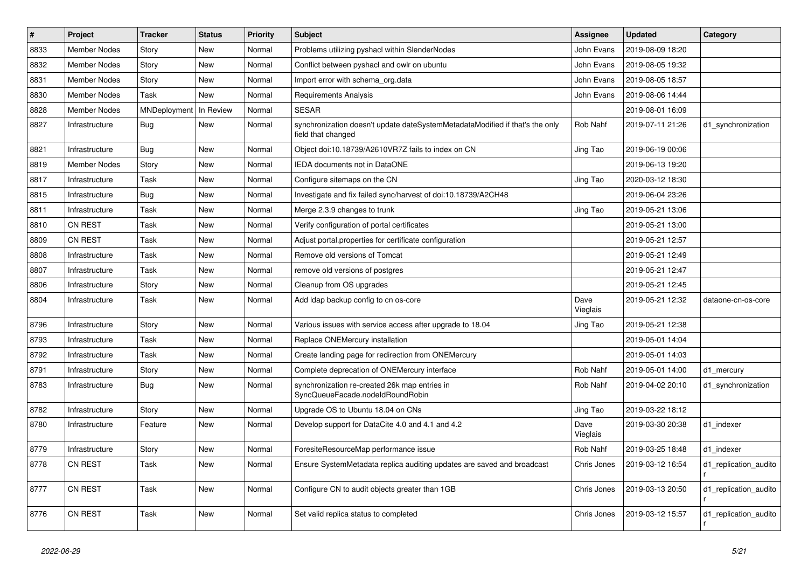| $\#$ | Project             | <b>Tracker</b> | <b>Status</b> | Priority | <b>Subject</b>                                                                                     | <b>Assignee</b>  | <b>Updated</b>   | Category              |
|------|---------------------|----------------|---------------|----------|----------------------------------------------------------------------------------------------------|------------------|------------------|-----------------------|
| 8833 | <b>Member Nodes</b> | Story          | New           | Normal   | Problems utilizing pyshacl within SlenderNodes                                                     | John Evans       | 2019-08-09 18:20 |                       |
| 8832 | <b>Member Nodes</b> | Story          | <b>New</b>    | Normal   | Conflict between pyshacl and owlr on ubuntu                                                        | John Evans       | 2019-08-05 19:32 |                       |
| 8831 | <b>Member Nodes</b> | Story          | New           | Normal   | Import error with schema org.data                                                                  | John Evans       | 2019-08-05 18:57 |                       |
| 8830 | <b>Member Nodes</b> | Task           | New           | Normal   | Requirements Analysis                                                                              | John Evans       | 2019-08-06 14:44 |                       |
| 8828 | <b>Member Nodes</b> | MNDeployment   | In Review     | Normal   | <b>SESAR</b>                                                                                       |                  | 2019-08-01 16:09 |                       |
| 8827 | Infrastructure      | Bug            | New           | Normal   | synchronization doesn't update dateSystemMetadataModified if that's the only<br>field that changed | Rob Nahf         | 2019-07-11 21:26 | d1 synchronization    |
| 8821 | Infrastructure      | <b>Bug</b>     | <b>New</b>    | Normal   | Object doi:10.18739/A2610VR7Z fails to index on CN                                                 | Jing Tao         | 2019-06-19 00:06 |                       |
| 8819 | <b>Member Nodes</b> | Story          | <b>New</b>    | Normal   | IEDA documents not in DataONE                                                                      |                  | 2019-06-13 19:20 |                       |
| 8817 | Infrastructure      | Task           | <b>New</b>    | Normal   | Configure sitemaps on the CN                                                                       | Jing Tao         | 2020-03-12 18:30 |                       |
| 8815 | Infrastructure      | Bug            | <b>New</b>    | Normal   | Investigate and fix failed sync/harvest of doi:10.18739/A2CH48                                     |                  | 2019-06-04 23:26 |                       |
| 8811 | Infrastructure      | Task           | <b>New</b>    | Normal   | Merge 2.3.9 changes to trunk                                                                       | Jing Tao         | 2019-05-21 13:06 |                       |
| 8810 | <b>CN REST</b>      | Task           | <b>New</b>    | Normal   | Verify configuration of portal certificates                                                        |                  | 2019-05-21 13:00 |                       |
| 8809 | <b>CN REST</b>      | Task           | <b>New</b>    | Normal   | Adjust portal properties for certificate configuration                                             |                  | 2019-05-21 12:57 |                       |
| 8808 | Infrastructure      | Task           | <b>New</b>    | Normal   | Remove old versions of Tomcat                                                                      |                  | 2019-05-21 12:49 |                       |
| 8807 | Infrastructure      | Task           | <b>New</b>    | Normal   | remove old versions of postgres                                                                    |                  | 2019-05-21 12:47 |                       |
| 8806 | Infrastructure      | Story          | <b>New</b>    | Normal   | Cleanup from OS upgrades                                                                           |                  | 2019-05-21 12:45 |                       |
| 8804 | Infrastructure      | Task           | New           | Normal   | Add Idap backup config to cn os-core                                                               | Dave<br>Vieglais | 2019-05-21 12:32 | dataone-cn-os-core    |
| 8796 | Infrastructure      | Story          | New           | Normal   | Various issues with service access after upgrade to 18.04                                          | Jing Tao         | 2019-05-21 12:38 |                       |
| 8793 | Infrastructure      | Task           | New           | Normal   | Replace ONEMercury installation                                                                    |                  | 2019-05-01 14:04 |                       |
| 8792 | Infrastructure      | Task           | <b>New</b>    | Normal   | Create landing page for redirection from ONEMercury                                                |                  | 2019-05-01 14:03 |                       |
| 8791 | Infrastructure      | Story          | New           | Normal   | Complete deprecation of ONEMercury interface                                                       | Rob Nahf         | 2019-05-01 14:00 | d1 mercury            |
| 8783 | Infrastructure      | Bug            | New           | Normal   | synchronization re-created 26k map entries in<br>SyncQueueFacade.nodeIdRoundRobin                  | Rob Nahf         | 2019-04-02 20:10 | d1 synchronization    |
| 8782 | Infrastructure      | Story          | <b>New</b>    | Normal   | Upgrade OS to Ubuntu 18.04 on CNs                                                                  | Jing Tao         | 2019-03-22 18:12 |                       |
| 8780 | Infrastructure      | Feature        | New           | Normal   | Develop support for DataCite 4.0 and 4.1 and 4.2                                                   | Dave<br>Vieglais | 2019-03-30 20:38 | d1_indexer            |
| 8779 | Infrastructure      | Story          | <b>New</b>    | Normal   | ForesiteResourceMap performance issue                                                              | Rob Nahf         | 2019-03-25 18:48 | d1 indexer            |
| 8778 | <b>CN REST</b>      | Task           | <b>New</b>    | Normal   | Ensure SystemMetadata replica auditing updates are saved and broadcast                             | Chris Jones      | 2019-03-12 16:54 | d1_replication_audito |
| 8777 | <b>CN REST</b>      | Task           | New           | Normal   | Configure CN to audit objects greater than 1GB                                                     | Chris Jones      | 2019-03-13 20:50 | d1 replication audito |
| 8776 | <b>CN REST</b>      | Task           | <b>New</b>    | Normal   | Set valid replica status to completed                                                              | Chris Jones      | 2019-03-12 15:57 | d1 replication audito |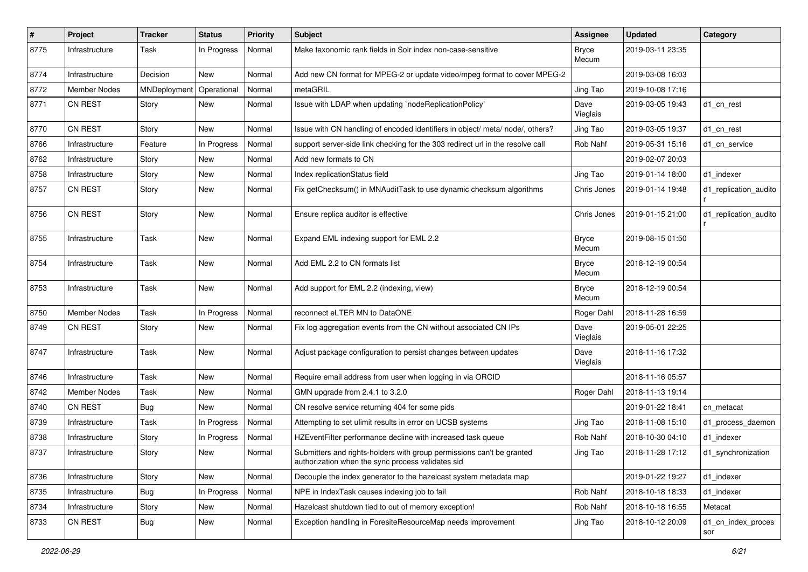| $\#$ | Project             | <b>Tracker</b> | <b>Status</b> | Priority | <b>Subject</b>                                                                                                             | Assignee              | <b>Updated</b>   | Category                  |
|------|---------------------|----------------|---------------|----------|----------------------------------------------------------------------------------------------------------------------------|-----------------------|------------------|---------------------------|
| 8775 | Infrastructure      | Task           | In Progress   | Normal   | Make taxonomic rank fields in Solr index non-case-sensitive                                                                | <b>Bryce</b><br>Mecum | 2019-03-11 23:35 |                           |
| 8774 | Infrastructure      | Decision       | New           | Normal   | Add new CN format for MPEG-2 or update video/mpeg format to cover MPEG-2                                                   |                       | 2019-03-08 16:03 |                           |
| 8772 | <b>Member Nodes</b> | MNDeployment   | Operational   | Normal   | metaGRIL                                                                                                                   | Jing Tao              | 2019-10-08 17:16 |                           |
| 8771 | <b>CN REST</b>      | Story          | New           | Normal   | Issue with LDAP when updating `nodeReplicationPolicy`                                                                      | Dave<br>Vieglais      | 2019-03-05 19:43 | d1_cn_rest                |
| 8770 | <b>CN REST</b>      | Story          | New           | Normal   | Issue with CN handling of encoded identifiers in object/ meta/ node/, others?                                              | Jing Tao              | 2019-03-05 19:37 | d1_cn_rest                |
| 8766 | Infrastructure      | Feature        | In Progress   | Normal   | support server-side link checking for the 303 redirect url in the resolve call                                             | Rob Nahf              | 2019-05-31 15:16 | d1 cn service             |
| 8762 | Infrastructure      | Story          | New           | Normal   | Add new formats to CN                                                                                                      |                       | 2019-02-07 20:03 |                           |
| 8758 | Infrastructure      | Story          | New           | Normal   | Index replicationStatus field                                                                                              | Jing Tao              | 2019-01-14 18:00 | d1_indexer                |
| 8757 | CN REST             | Story          | New           | Normal   | Fix getChecksum() in MNAuditTask to use dynamic checksum algorithms                                                        | Chris Jones           | 2019-01-14 19:48 | d1_replication_audito     |
| 8756 | <b>CN REST</b>      | Story          | New           | Normal   | Ensure replica auditor is effective                                                                                        | Chris Jones           | 2019-01-15 21:00 | d1_replication_audito     |
| 8755 | Infrastructure      | Task           | New           | Normal   | Expand EML indexing support for EML 2.2                                                                                    | <b>Bryce</b><br>Mecum | 2019-08-15 01:50 |                           |
| 8754 | Infrastructure      | Task           | New           | Normal   | Add EML 2.2 to CN formats list                                                                                             | <b>Bryce</b><br>Mecum | 2018-12-19 00:54 |                           |
| 8753 | Infrastructure      | Task           | New           | Normal   | Add support for EML 2.2 (indexing, view)                                                                                   | <b>Bryce</b><br>Mecum | 2018-12-19 00:54 |                           |
| 8750 | <b>Member Nodes</b> | Task           | In Progress   | Normal   | reconnect eLTER MN to DataONE                                                                                              | Roger Dahl            | 2018-11-28 16:59 |                           |
| 8749 | CN REST             | Story          | New           | Normal   | Fix log aggregation events from the CN without associated CN IPs                                                           | Dave<br>Vieglais      | 2019-05-01 22:25 |                           |
| 8747 | Infrastructure      | Task           | New           | Normal   | Adjust package configuration to persist changes between updates                                                            | Dave<br>Vieglais      | 2018-11-16 17:32 |                           |
| 8746 | Infrastructure      | Task           | New           | Normal   | Require email address from user when logging in via ORCID                                                                  |                       | 2018-11-16 05:57 |                           |
| 8742 | <b>Member Nodes</b> | Task           | New           | Normal   | GMN upgrade from 2.4.1 to 3.2.0                                                                                            | Roger Dahl            | 2018-11-13 19:14 |                           |
| 8740 | <b>CN REST</b>      | Bug            | New           | Normal   | CN resolve service returning 404 for some pids                                                                             |                       | 2019-01-22 18:41 | cn metacat                |
| 8739 | Infrastructure      | Task           | In Progress   | Normal   | Attempting to set ulimit results in error on UCSB systems                                                                  | Jing Tao              | 2018-11-08 15:10 | d1_process_daemon         |
| 8738 | Infrastructure      | Story          | In Progress   | Normal   | HZEventFilter performance decline with increased task queue                                                                | Rob Nahf              | 2018-10-30 04:10 | d1 indexer                |
| 8737 | Infrastructure      | Story          | New           | Normal   | Submitters and rights-holders with group permissions can't be granted<br>authorization when the sync process validates sid | Jing Tao              | 2018-11-28 17:12 | d1_synchronization        |
| 8736 | Infrastructure      | Story          | New           | Normal   | Decouple the index generator to the hazelcast system metadata map                                                          |                       | 2019-01-22 19:27 | d1 indexer                |
| 8735 | Infrastructure      | Bug            | In Progress   | Normal   | NPE in IndexTask causes indexing job to fail                                                                               | Rob Nahf              | 2018-10-18 18:33 | d1_indexer                |
| 8734 | Infrastructure      | Story          | New           | Normal   | Hazelcast shutdown tied to out of memory exception!                                                                        | Rob Nahf              | 2018-10-18 16:55 | Metacat                   |
| 8733 | CN REST             | <b>Bug</b>     | New           | Normal   | Exception handling in ForesiteResourceMap needs improvement                                                                | Jing Tao              | 2018-10-12 20:09 | d1_cn_index_proces<br>sor |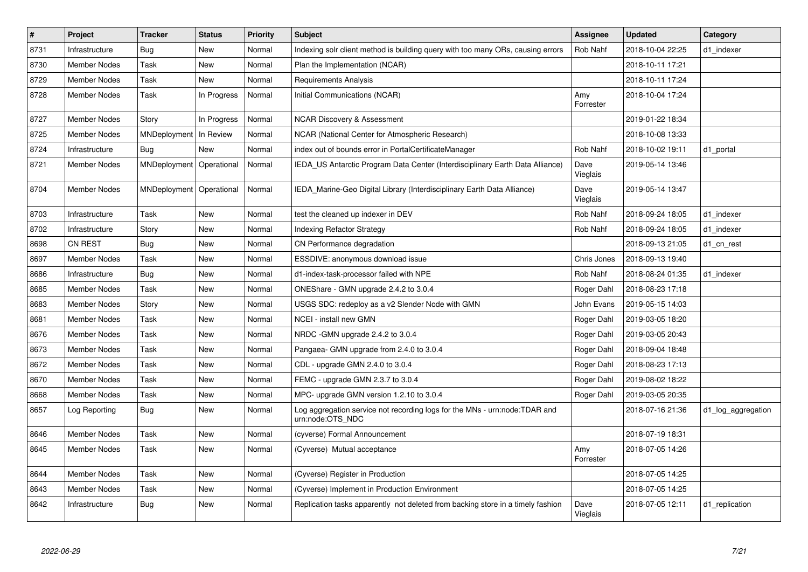| $\vert$ # | <b>Project</b>      | <b>Tracker</b>             | <b>Status</b> | <b>Priority</b> | <b>Subject</b>                                                                                 | Assignee         | <b>Updated</b>   | Category           |
|-----------|---------------------|----------------------------|---------------|-----------------|------------------------------------------------------------------------------------------------|------------------|------------------|--------------------|
| 8731      | Infrastructure      | Bug                        | <b>New</b>    | Normal          | Indexing solr client method is building query with too many ORs, causing errors                | Rob Nahf         | 2018-10-04 22:25 | d1_indexer         |
| 8730      | <b>Member Nodes</b> | Task                       | <b>New</b>    | Normal          | Plan the Implementation (NCAR)                                                                 |                  | 2018-10-11 17:21 |                    |
| 8729      | <b>Member Nodes</b> | Task                       | <b>New</b>    | Normal          | <b>Requirements Analysis</b>                                                                   |                  | 2018-10-11 17:24 |                    |
| 8728      | Member Nodes        | Task                       | In Progress   | Normal          | Initial Communications (NCAR)                                                                  | Amy<br>Forrester | 2018-10-04 17:24 |                    |
| 8727      | Member Nodes        | Story                      | In Progress   | Normal          | <b>NCAR Discovery &amp; Assessment</b>                                                         |                  | 2019-01-22 18:34 |                    |
| 8725      | Member Nodes        | MNDeployment               | In Review     | Normal          | NCAR (National Center for Atmospheric Research)                                                |                  | 2018-10-08 13:33 |                    |
| 8724      | Infrastructure      | <b>Bug</b>                 | <b>New</b>    | Normal          | index out of bounds error in PortalCertificateManager                                          | Rob Nahf         | 2018-10-02 19:11 | d1 portal          |
| 8721      | <b>Member Nodes</b> | MNDeployment   Operational |               | Normal          | IEDA US Antarctic Program Data Center (Interdisciplinary Earth Data Alliance)                  | Dave<br>Vieglais | 2019-05-14 13:46 |                    |
| 8704      | <b>Member Nodes</b> | MNDeployment   Operational |               | Normal          | IEDA Marine-Geo Digital Library (Interdisciplinary Earth Data Alliance)                        | Dave<br>Vieglais | 2019-05-14 13:47 |                    |
| 8703      | Infrastructure      | Task                       | <b>New</b>    | Normal          | test the cleaned up indexer in DEV                                                             | Rob Nahf         | 2018-09-24 18:05 | d1 indexer         |
| 8702      | Infrastructure      | Story                      | <b>New</b>    | Normal          | Indexing Refactor Strategy                                                                     | Rob Nahf         | 2018-09-24 18:05 | d1 indexer         |
| 8698      | <b>CN REST</b>      | Bug                        | <b>New</b>    | Normal          | CN Performance degradation                                                                     |                  | 2018-09-13 21:05 | d1 cn rest         |
| 8697      | Member Nodes        | Task                       | <b>New</b>    | Normal          | ESSDIVE: anonymous download issue                                                              | Chris Jones      | 2018-09-13 19:40 |                    |
| 8686      | Infrastructure      | <b>Bug</b>                 | New           | Normal          | d1-index-task-processor failed with NPE                                                        | Rob Nahf         | 2018-08-24 01:35 | d1 indexer         |
| 8685      | <b>Member Nodes</b> | Task                       | <b>New</b>    | Normal          | ONEShare - GMN upgrade 2.4.2 to 3.0.4                                                          | Roger Dahl       | 2018-08-23 17:18 |                    |
| 8683      | <b>Member Nodes</b> | Story                      | <b>New</b>    | Normal          | USGS SDC: redeploy as a v2 Slender Node with GMN                                               | John Evans       | 2019-05-15 14:03 |                    |
| 8681      | Member Nodes        | Task                       | <b>New</b>    | Normal          | NCEI - install new GMN                                                                         | Roger Dahl       | 2019-03-05 18:20 |                    |
| 8676      | <b>Member Nodes</b> | Task                       | <b>New</b>    | Normal          | NRDC - GMN upgrade 2.4.2 to 3.0.4                                                              | Roger Dahl       | 2019-03-05 20:43 |                    |
| 8673      | <b>Member Nodes</b> | Task                       | <b>New</b>    | Normal          | Pangaea- GMN upgrade from 2.4.0 to 3.0.4                                                       | Roger Dahl       | 2018-09-04 18:48 |                    |
| 8672      | Member Nodes        | Task                       | <b>New</b>    | Normal          | CDL - upgrade GMN 2.4.0 to 3.0.4                                                               | Roger Dahl       | 2018-08-23 17:13 |                    |
| 8670      | <b>Member Nodes</b> | Task                       | <b>New</b>    | Normal          | FEMC - upgrade GMN 2.3.7 to 3.0.4                                                              | Roger Dahl       | 2019-08-02 18:22 |                    |
| 8668      | <b>Member Nodes</b> | Task                       | <b>New</b>    | Normal          | MPC- upgrade GMN version 1.2.10 to 3.0.4                                                       | Roger Dahl       | 2019-03-05 20:35 |                    |
| 8657      | Log Reporting       | <b>Bug</b>                 | New           | Normal          | Log aggregation service not recording logs for the MNs - urn:node:TDAR and<br>urn:node:OTS_NDC |                  | 2018-07-16 21:36 | d1_log_aggregation |
| 8646      | <b>Member Nodes</b> | Task                       | <b>New</b>    | Normal          | (cyverse) Formal Announcement                                                                  |                  | 2018-07-19 18:31 |                    |
| 8645      | Member Nodes        | Task                       | <b>New</b>    | Normal          | (Cyverse) Mutual acceptance                                                                    | Amy<br>Forrester | 2018-07-05 14:26 |                    |
| 8644      | <b>Member Nodes</b> | Task                       | <b>New</b>    | Normal          | (Cyverse) Register in Production                                                               |                  | 2018-07-05 14:25 |                    |
| 8643      | Member Nodes        | Task                       | <b>New</b>    | Normal          | (Cyverse) Implement in Production Environment                                                  |                  | 2018-07-05 14:25 |                    |
| 8642      | Infrastructure      | Bug                        | <b>New</b>    | Normal          | Replication tasks apparently not deleted from backing store in a timely fashion                | Dave<br>Vieglais | 2018-07-05 12:11 | d1 replication     |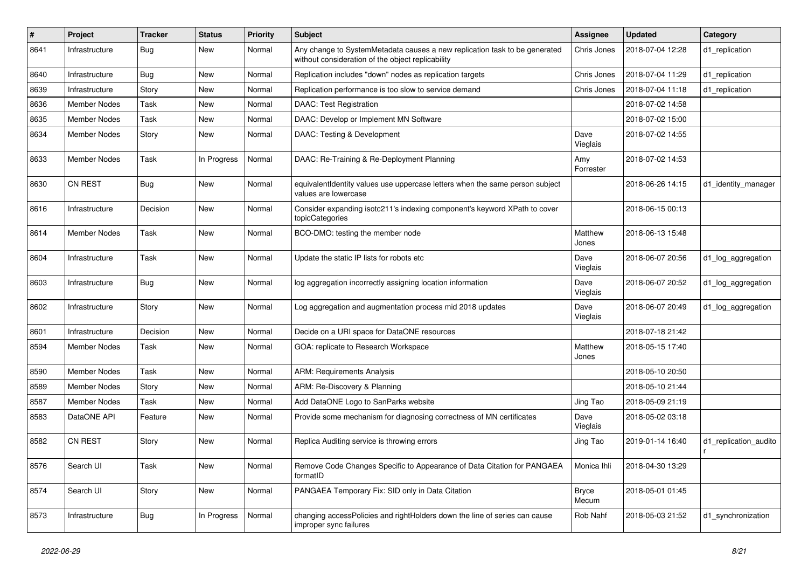| #    | Project             | <b>Tracker</b> | <b>Status</b> | <b>Priority</b> | Subject                                                                                                                         | <b>Assignee</b>       | <b>Updated</b>   | Category              |
|------|---------------------|----------------|---------------|-----------------|---------------------------------------------------------------------------------------------------------------------------------|-----------------------|------------------|-----------------------|
| 8641 | Infrastructure      | Bug            | New           | Normal          | Any change to SystemMetadata causes a new replication task to be generated<br>without consideration of the object replicability | Chris Jones           | 2018-07-04 12:28 | d1_replication        |
| 8640 | Infrastructure      | Bug            | New           | Normal          | Replication includes "down" nodes as replication targets                                                                        | Chris Jones           | 2018-07-04 11:29 | d1 replication        |
| 8639 | Infrastructure      | Story          | <b>New</b>    | Normal          | Replication performance is too slow to service demand                                                                           | Chris Jones           | 2018-07-04 11:18 | d1_replication        |
| 8636 | <b>Member Nodes</b> | Task           | <b>New</b>    | Normal          | DAAC: Test Registration                                                                                                         |                       | 2018-07-02 14:58 |                       |
| 8635 | <b>Member Nodes</b> | Task           | New           | Normal          | DAAC: Develop or Implement MN Software                                                                                          |                       | 2018-07-02 15:00 |                       |
| 8634 | <b>Member Nodes</b> | Story          | New           | Normal          | DAAC: Testing & Development                                                                                                     | Dave<br>Vieglais      | 2018-07-02 14:55 |                       |
| 8633 | <b>Member Nodes</b> | Task           | In Progress   | Normal          | DAAC: Re-Training & Re-Deployment Planning                                                                                      | Amy<br>Forrester      | 2018-07-02 14:53 |                       |
| 8630 | <b>CN REST</b>      | Bug            | New           | Normal          | equivalentIdentity values use uppercase letters when the same person subject<br>values are lowercase                            |                       | 2018-06-26 14:15 | d1_identity_manager   |
| 8616 | Infrastructure      | Decision       | <b>New</b>    | Normal          | Consider expanding isotc211's indexing component's keyword XPath to cover<br>topicCategories                                    |                       | 2018-06-15 00:13 |                       |
| 8614 | <b>Member Nodes</b> | Task           | New           | Normal          | BCO-DMO: testing the member node                                                                                                | Matthew<br>Jones      | 2018-06-13 15:48 |                       |
| 8604 | Infrastructure      | Task           | New           | Normal          | Update the static IP lists for robots etc                                                                                       | Dave<br>Vieglais      | 2018-06-07 20:56 | d1_log_aggregation    |
| 8603 | Infrastructure      | Bug            | New           | Normal          | log aggregation incorrectly assigning location information                                                                      | Dave<br>Vieglais      | 2018-06-07 20:52 | d1_log_aggregation    |
| 8602 | Infrastructure      | Story          | New           | Normal          | Log aggregation and augmentation process mid 2018 updates                                                                       | Dave<br>Vieglais      | 2018-06-07 20:49 | d1_log_aggregation    |
| 8601 | Infrastructure      | Decision       | <b>New</b>    | Normal          | Decide on a URI space for DataONE resources                                                                                     |                       | 2018-07-18 21:42 |                       |
| 8594 | <b>Member Nodes</b> | Task           | New           | Normal          | GOA: replicate to Research Workspace                                                                                            | Matthew<br>Jones      | 2018-05-15 17:40 |                       |
| 8590 | <b>Member Nodes</b> | Task           | <b>New</b>    | Normal          | <b>ARM: Requirements Analysis</b>                                                                                               |                       | 2018-05-10 20:50 |                       |
| 8589 | <b>Member Nodes</b> | Story          | <b>New</b>    | Normal          | ARM: Re-Discovery & Planning                                                                                                    |                       | 2018-05-10 21:44 |                       |
| 8587 | <b>Member Nodes</b> | Task           | <b>New</b>    | Normal          | Add DataONE Logo to SanParks website                                                                                            | Jing Tao              | 2018-05-09 21:19 |                       |
| 8583 | DataONE API         | Feature        | New           | Normal          | Provide some mechanism for diagnosing correctness of MN certificates                                                            | Dave<br>Vieglais      | 2018-05-02 03:18 |                       |
| 8582 | <b>CN REST</b>      | Story          | <b>New</b>    | Normal          | Replica Auditing service is throwing errors                                                                                     | Jing Tao              | 2019-01-14 16:40 | d1_replication_audito |
| 8576 | Search UI           | Task           | New           | Normal          | Remove Code Changes Specific to Appearance of Data Citation for PANGAEA<br>formatID                                             | Monica Ihli           | 2018-04-30 13:29 |                       |
| 8574 | Search UI           | Story          | New           | Normal          | PANGAEA Temporary Fix: SID only in Data Citation                                                                                | <b>Bryce</b><br>Mecum | 2018-05-01 01:45 |                       |
| 8573 | Infrastructure      | <b>Bug</b>     | In Progress   | Normal          | changing accessPolicies and rightHolders down the line of series can cause<br>improper sync failures                            | Rob Nahf              | 2018-05-03 21:52 | d1_synchronization    |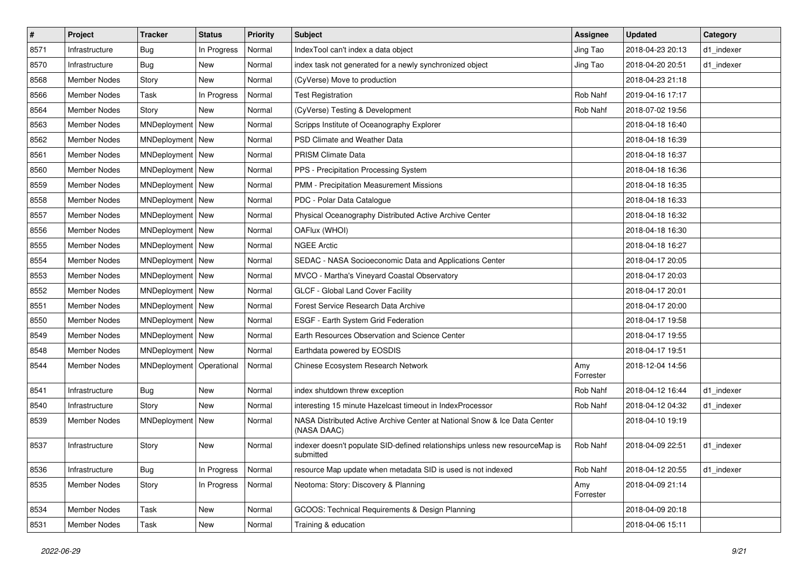| $\vert$ # | Project             | <b>Tracker</b>             | <b>Status</b> | <b>Priority</b> | <b>Subject</b>                                                                            | <b>Assignee</b>  | <b>Updated</b>   | Category   |
|-----------|---------------------|----------------------------|---------------|-----------------|-------------------------------------------------------------------------------------------|------------------|------------------|------------|
| 8571      | Infrastructure      | <b>Bug</b>                 | In Progress   | Normal          | IndexTool can't index a data object                                                       | Jing Tao         | 2018-04-23 20:13 | d1 indexer |
| 8570      | Infrastructure      | <b>Bug</b>                 | <b>New</b>    | Normal          | index task not generated for a newly synchronized object                                  | Jing Tao         | 2018-04-20 20:51 | d1_indexer |
| 8568      | <b>Member Nodes</b> | Story                      | New           | Normal          | (CyVerse) Move to production                                                              |                  | 2018-04-23 21:18 |            |
| 8566      | Member Nodes        | Task                       | In Progress   | Normal          | <b>Test Registration</b>                                                                  | Rob Nahf         | 2019-04-16 17:17 |            |
| 8564      | <b>Member Nodes</b> | Story                      | New           | Normal          | (CyVerse) Testing & Development                                                           | Rob Nahf         | 2018-07-02 19:56 |            |
| 8563      | <b>Member Nodes</b> | MNDeployment   New         |               | Normal          | Scripps Institute of Oceanography Explorer                                                |                  | 2018-04-18 16:40 |            |
| 8562      | <b>Member Nodes</b> | MNDeployment   New         |               | Normal          | PSD Climate and Weather Data                                                              |                  | 2018-04-18 16:39 |            |
| 8561      | <b>Member Nodes</b> | MNDeployment   New         |               | Normal          | <b>PRISM Climate Data</b>                                                                 |                  | 2018-04-18 16:37 |            |
| 8560      | Member Nodes        | MNDeployment   New         |               | Normal          | PPS - Precipitation Processing System                                                     |                  | 2018-04-18 16:36 |            |
| 8559      | Member Nodes        | MNDeployment New           |               | Normal          | PMM - Precipitation Measurement Missions                                                  |                  | 2018-04-18 16:35 |            |
| 8558      | <b>Member Nodes</b> | MNDeployment   New         |               | Normal          | PDC - Polar Data Catalogue                                                                |                  | 2018-04-18 16:33 |            |
| 8557      | Member Nodes        | MNDeployment   New         |               | Normal          | Physical Oceanography Distributed Active Archive Center                                   |                  | 2018-04-18 16:32 |            |
| 8556      | <b>Member Nodes</b> | MNDeployment   New         |               | Normal          | OAFlux (WHOI)                                                                             |                  | 2018-04-18 16:30 |            |
| 8555      | Member Nodes        | MNDeployment   New         |               | Normal          | <b>NGEE Arctic</b>                                                                        |                  | 2018-04-18 16:27 |            |
| 8554      | <b>Member Nodes</b> | MNDeployment   New         |               | Normal          | SEDAC - NASA Socioeconomic Data and Applications Center                                   |                  | 2018-04-17 20:05 |            |
| 8553      | Member Nodes        | MNDeployment   New         |               | Normal          | MVCO - Martha's Vineyard Coastal Observatory                                              |                  | 2018-04-17 20:03 |            |
| 8552      | Member Nodes        | MNDeployment   New         |               | Normal          | GLCF - Global Land Cover Facility                                                         |                  | 2018-04-17 20:01 |            |
| 8551      | <b>Member Nodes</b> | MNDeployment   New         |               | Normal          | Forest Service Research Data Archive                                                      |                  | 2018-04-17 20:00 |            |
| 8550      | Member Nodes        | MNDeployment   New         |               | Normal          | ESGF - Earth System Grid Federation                                                       |                  | 2018-04-17 19:58 |            |
| 8549      | <b>Member Nodes</b> | MNDeployment   New         |               | Normal          | Earth Resources Observation and Science Center                                            |                  | 2018-04-17 19:55 |            |
| 8548      | <b>Member Nodes</b> | MNDeployment   New         |               | Normal          | Earthdata powered by EOSDIS                                                               |                  | 2018-04-17 19:51 |            |
| 8544      | <b>Member Nodes</b> | MNDeployment   Operational |               | Normal          | Chinese Ecosystem Research Network                                                        | Amy<br>Forrester | 2018-12-04 14:56 |            |
| 8541      | Infrastructure      | Bug                        | New           | Normal          | index shutdown threw exception                                                            | Rob Nahf         | 2018-04-12 16:44 | d1 indexer |
| 8540      | Infrastructure      | Story                      | New           | Normal          | interesting 15 minute Hazelcast timeout in IndexProcessor                                 | Rob Nahf         | 2018-04-12 04:32 | d1 indexer |
| 8539      | Member Nodes        | MNDeployment New           |               | Normal          | NASA Distributed Active Archive Center at National Snow & Ice Data Center<br>(NASA DAAC)  |                  | 2018-04-10 19:19 |            |
| 8537      | Infrastructure      | Story                      | <b>New</b>    | Normal          | indexer doesn't populate SID-defined relationships unless new resourceMap is<br>submitted | Rob Nahf         | 2018-04-09 22:51 | d1_indexer |
| 8536      | Infrastructure      | Bug                        | In Progress   | Normal          | resource Map update when metadata SID is used is not indexed                              | Rob Nahf         | 2018-04-12 20:55 | d1_indexer |
| 8535      | <b>Member Nodes</b> | Story                      | In Progress   | Normal          | Neotoma: Story: Discovery & Planning                                                      | Amy<br>Forrester | 2018-04-09 21:14 |            |
| 8534      | Member Nodes        | Task                       | New           | Normal          | GCOOS: Technical Requirements & Design Planning                                           |                  | 2018-04-09 20:18 |            |
| 8531      | Member Nodes        | Task                       | New           | Normal          | Training & education                                                                      |                  | 2018-04-06 15:11 |            |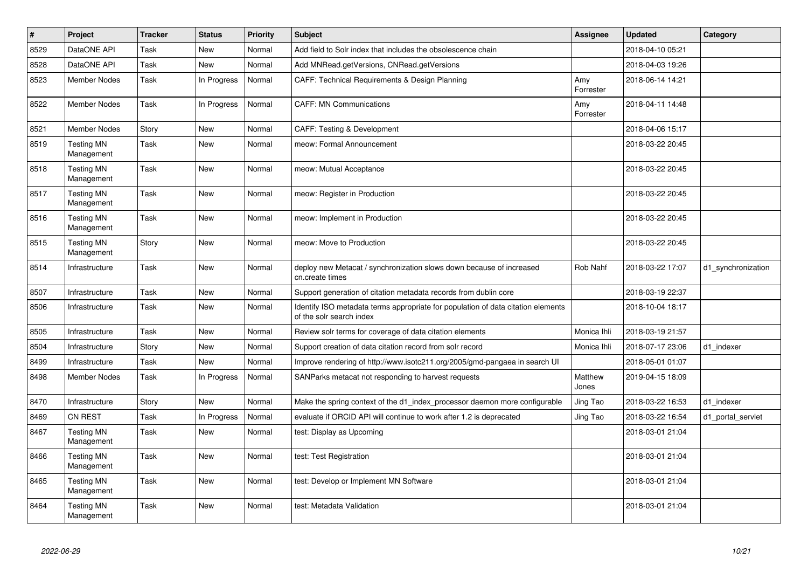| $\vert$ # | <b>Project</b>                  | <b>Tracker</b> | <b>Status</b> | <b>Priority</b> | <b>Subject</b>                                                                                               | Assignee         | <b>Updated</b>   | Category           |
|-----------|---------------------------------|----------------|---------------|-----------------|--------------------------------------------------------------------------------------------------------------|------------------|------------------|--------------------|
| 8529      | DataONE API                     | Task           | <b>New</b>    | Normal          | Add field to Solr index that includes the obsolescence chain                                                 |                  | 2018-04-10 05:21 |                    |
| 8528      | DataONE API                     | Task           | <b>New</b>    | Normal          | Add MNRead.getVersions, CNRead.getVersions                                                                   |                  | 2018-04-03 19:26 |                    |
| 8523      | <b>Member Nodes</b>             | Task           | In Progress   | Normal          | CAFF: Technical Requirements & Design Planning                                                               | Amy<br>Forrester | 2018-06-14 14:21 |                    |
| 8522      | <b>Member Nodes</b>             | Task           | In Progress   | Normal          | <b>CAFF: MN Communications</b>                                                                               | Amy<br>Forrester | 2018-04-11 14:48 |                    |
| 8521      | <b>Member Nodes</b>             | Story          | New           | Normal          | CAFF: Testing & Development                                                                                  |                  | 2018-04-06 15:17 |                    |
| 8519      | <b>Testing MN</b><br>Management | Task           | New           | Normal          | meow: Formal Announcement                                                                                    |                  | 2018-03-22 20:45 |                    |
| 8518      | <b>Testing MN</b><br>Management | Task           | New           | Normal          | meow: Mutual Acceptance                                                                                      |                  | 2018-03-22 20:45 |                    |
| 8517      | <b>Testing MN</b><br>Management | Task           | New           | Normal          | meow: Register in Production                                                                                 |                  | 2018-03-22 20:45 |                    |
| 8516      | <b>Testing MN</b><br>Management | Task           | New           | Normal          | meow: Implement in Production                                                                                |                  | 2018-03-22 20:45 |                    |
| 8515      | <b>Testing MN</b><br>Management | Story          | New           | Normal          | meow: Move to Production                                                                                     |                  | 2018-03-22 20:45 |                    |
| 8514      | Infrastructure                  | Task           | New           | Normal          | deploy new Metacat / synchronization slows down because of increased<br>cn.create times                      | Rob Nahf         | 2018-03-22 17:07 | d1_synchronization |
| 8507      | Infrastructure                  | Task           | <b>New</b>    | Normal          | Support generation of citation metadata records from dublin core                                             |                  | 2018-03-19 22:37 |                    |
| 8506      | Infrastructure                  | Task           | New           | Normal          | Identify ISO metadata terms appropriate for population of data citation elements<br>of the solr search index |                  | 2018-10-04 18:17 |                    |
| 8505      | Infrastructure                  | Task           | <b>New</b>    | Normal          | Review solr terms for coverage of data citation elements                                                     | Monica Ihli      | 2018-03-19 21:57 |                    |
| 8504      | Infrastructure                  | Story          | <b>New</b>    | Normal          | Support creation of data citation record from solr record                                                    | Monica Ihli      | 2018-07-17 23:06 | d1 indexer         |
| 8499      | Infrastructure                  | Task           | <b>New</b>    | Normal          | Improve rendering of http://www.isotc211.org/2005/gmd-pangaea in search UI                                   |                  | 2018-05-01 01:07 |                    |
| 8498      | Member Nodes                    | Task           | In Progress   | Normal          | SANParks metacat not responding to harvest requests                                                          | Matthew<br>Jones | 2019-04-15 18:09 |                    |
| 8470      | Infrastructure                  | Story          | <b>New</b>    | Normal          | Make the spring context of the d1_index_processor daemon more configurable                                   | Jing Tao         | 2018-03-22 16:53 | d1 indexer         |
| 8469      | CN REST                         | Task           | In Progress   | Normal          | evaluate if ORCID API will continue to work after 1.2 is deprecated                                          | Jing Tao         | 2018-03-22 16:54 | d1 portal servlet  |
| 8467      | <b>Testing MN</b><br>Management | Task           | New           | Normal          | test: Display as Upcoming                                                                                    |                  | 2018-03-01 21:04 |                    |
| 8466      | <b>Testing MN</b><br>Management | Task           | <b>New</b>    | Normal          | test: Test Registration                                                                                      |                  | 2018-03-01 21:04 |                    |
| 8465      | <b>Testing MN</b><br>Management | Task           | <b>New</b>    | Normal          | test: Develop or Implement MN Software                                                                       |                  | 2018-03-01 21:04 |                    |
| 8464      | <b>Testing MN</b><br>Management | Task           | <b>New</b>    | Normal          | test: Metadata Validation                                                                                    |                  | 2018-03-01 21:04 |                    |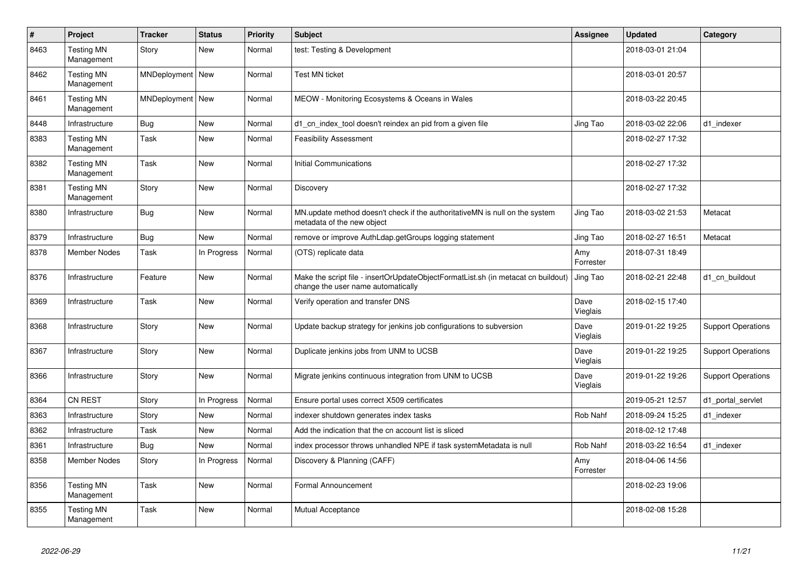| $\vert$ # | Project                         | <b>Tracker</b>     | <b>Status</b> | <b>Priority</b> | <b>Subject</b>                                                                                                          | <b>Assignee</b>  | <b>Updated</b>   | Category                  |
|-----------|---------------------------------|--------------------|---------------|-----------------|-------------------------------------------------------------------------------------------------------------------------|------------------|------------------|---------------------------|
| 8463      | <b>Testing MN</b><br>Management | Story              | <b>New</b>    | Normal          | test: Testing & Development                                                                                             |                  | 2018-03-01 21:04 |                           |
| 8462      | <b>Testing MN</b><br>Management | MNDeployment   New |               | Normal          | <b>Test MN ticket</b>                                                                                                   |                  | 2018-03-01 20:57 |                           |
| 8461      | <b>Testing MN</b><br>Management | MNDeployment   New |               | Normal          | MEOW - Monitoring Ecosystems & Oceans in Wales                                                                          |                  | 2018-03-22 20:45 |                           |
| 8448      | Infrastructure                  | <b>Bug</b>         | <b>New</b>    | Normal          | d1 cn index tool doesn't reindex an pid from a given file                                                               | Jing Tao         | 2018-03-02 22:06 | d1 indexer                |
| 8383      | <b>Testing MN</b><br>Management | Task               | New           | Normal          | <b>Feasibility Assessment</b>                                                                                           |                  | 2018-02-27 17:32 |                           |
| 8382      | <b>Testing MN</b><br>Management | Task               | <b>New</b>    | Normal          | <b>Initial Communications</b>                                                                                           |                  | 2018-02-27 17:32 |                           |
| 8381      | <b>Testing MN</b><br>Management | Story              | <b>New</b>    | Normal          | Discovery                                                                                                               |                  | 2018-02-27 17:32 |                           |
| 8380      | Infrastructure                  | <b>Bug</b>         | <b>New</b>    | Normal          | MN.update method doesn't check if the authoritativeMN is null on the system<br>metadata of the new object               | Jing Tao         | 2018-03-02 21:53 | Metacat                   |
| 8379      | Infrastructure                  | <b>Bug</b>         | New           | Normal          | remove or improve AuthLdap.getGroups logging statement                                                                  | Jing Tao         | 2018-02-27 16:51 | Metacat                   |
| 8378      | <b>Member Nodes</b>             | Task               | In Progress   | Normal          | (OTS) replicate data                                                                                                    | Amy<br>Forrester | 2018-07-31 18:49 |                           |
| 8376      | Infrastructure                  | Feature            | New           | Normal          | Make the script file - insertOrUpdateObjectFormatList.sh (in metacat cn buildout)<br>change the user name automatically | Jing Tao         | 2018-02-21 22:48 | d1_cn_buildout            |
| 8369      | Infrastructure                  | Task               | <b>New</b>    | Normal          | Verify operation and transfer DNS                                                                                       | Dave<br>Vieglais | 2018-02-15 17:40 |                           |
| 8368      | Infrastructure                  | Story              | <b>New</b>    | Normal          | Update backup strategy for jenkins job configurations to subversion                                                     | Dave<br>Vieglais | 2019-01-22 19:25 | <b>Support Operations</b> |
| 8367      | Infrastructure                  | Story              | <b>New</b>    | Normal          | Duplicate jenkins jobs from UNM to UCSB                                                                                 | Dave<br>Vieglais | 2019-01-22 19:25 | <b>Support Operations</b> |
| 8366      | Infrastructure                  | Story              | New           | Normal          | Migrate jenkins continuous integration from UNM to UCSB                                                                 | Dave<br>Vieglais | 2019-01-22 19:26 | <b>Support Operations</b> |
| 8364      | <b>CN REST</b>                  | Story              | In Progress   | Normal          | Ensure portal uses correct X509 certificates                                                                            |                  | 2019-05-21 12:57 | d1_portal_servlet         |
| 8363      | Infrastructure                  | Story              | New           | Normal          | indexer shutdown generates index tasks                                                                                  | Rob Nahf         | 2018-09-24 15:25 | d1 indexer                |
| 8362      | Infrastructure                  | Task               | New           | Normal          | Add the indication that the cn account list is sliced                                                                   |                  | 2018-02-12 17:48 |                           |
| 8361      | Infrastructure                  | <b>Bug</b>         | <b>New</b>    | Normal          | index processor throws unhandled NPE if task systemMetadata is null                                                     | Rob Nahf         | 2018-03-22 16:54 | d1 indexer                |
| 8358      | <b>Member Nodes</b>             | Story              | In Progress   | Normal          | Discovery & Planning (CAFF)                                                                                             | Amy<br>Forrester | 2018-04-06 14:56 |                           |
| 8356      | <b>Testing MN</b><br>Management | Task               | New           | Normal          | Formal Announcement                                                                                                     |                  | 2018-02-23 19:06 |                           |
| 8355      | <b>Testing MN</b><br>Management | Task               | <b>New</b>    | Normal          | Mutual Acceptance                                                                                                       |                  | 2018-02-08 15:28 |                           |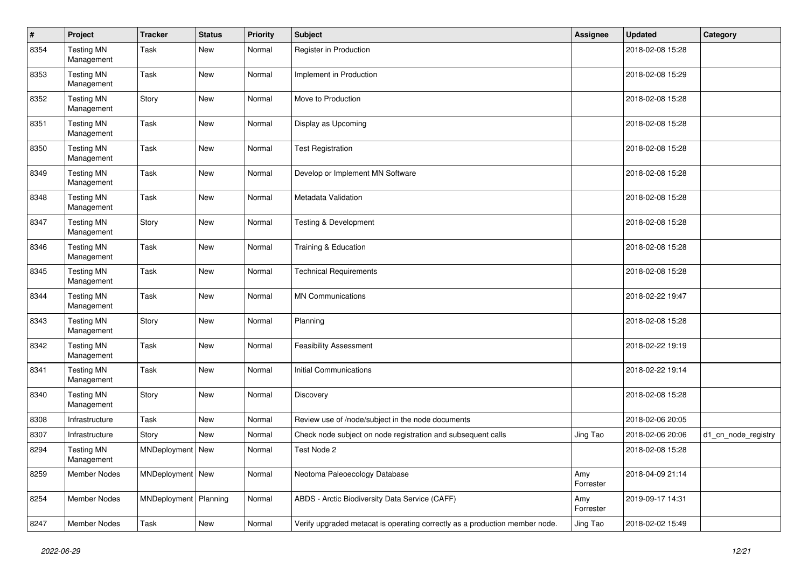| #    | Project                         | <b>Tracker</b>          | <b>Status</b> | <b>Priority</b> | <b>Subject</b>                                                              | <b>Assignee</b>  | <b>Updated</b>   | Category            |
|------|---------------------------------|-------------------------|---------------|-----------------|-----------------------------------------------------------------------------|------------------|------------------|---------------------|
| 8354 | <b>Testing MN</b><br>Management | Task                    | New           | Normal          | Register in Production                                                      |                  | 2018-02-08 15:28 |                     |
| 8353 | <b>Testing MN</b><br>Management | Task                    | <b>New</b>    | Normal          | Implement in Production                                                     |                  | 2018-02-08 15:29 |                     |
| 8352 | <b>Testing MN</b><br>Management | Story                   | <b>New</b>    | Normal          | Move to Production                                                          |                  | 2018-02-08 15:28 |                     |
| 8351 | <b>Testing MN</b><br>Management | Task                    | <b>New</b>    | Normal          | Display as Upcoming                                                         |                  | 2018-02-08 15:28 |                     |
| 8350 | <b>Testing MN</b><br>Management | Task                    | <b>New</b>    | Normal          | <b>Test Registration</b>                                                    |                  | 2018-02-08 15:28 |                     |
| 8349 | <b>Testing MN</b><br>Management | Task                    | <b>New</b>    | Normal          | Develop or Implement MN Software                                            |                  | 2018-02-08 15:28 |                     |
| 8348 | <b>Testing MN</b><br>Management | Task                    | <b>New</b>    | Normal          | Metadata Validation                                                         |                  | 2018-02-08 15:28 |                     |
| 8347 | <b>Testing MN</b><br>Management | Story                   | New           | Normal          | <b>Testing &amp; Development</b>                                            |                  | 2018-02-08 15:28 |                     |
| 8346 | <b>Testing MN</b><br>Management | Task                    | <b>New</b>    | Normal          | Training & Education                                                        |                  | 2018-02-08 15:28 |                     |
| 8345 | <b>Testing MN</b><br>Management | Task                    | <b>New</b>    | Normal          | <b>Technical Requirements</b>                                               |                  | 2018-02-08 15:28 |                     |
| 8344 | <b>Testing MN</b><br>Management | Task                    | <b>New</b>    | Normal          | <b>MN Communications</b>                                                    |                  | 2018-02-22 19:47 |                     |
| 8343 | <b>Testing MN</b><br>Management | Story                   | <b>New</b>    | Normal          | Planning                                                                    |                  | 2018-02-08 15:28 |                     |
| 8342 | <b>Testing MN</b><br>Management | Task                    | New           | Normal          | <b>Feasibility Assessment</b>                                               |                  | 2018-02-22 19:19 |                     |
| 8341 | <b>Testing MN</b><br>Management | Task                    | <b>New</b>    | Normal          | <b>Initial Communications</b>                                               |                  | 2018-02-22 19:14 |                     |
| 8340 | <b>Testing MN</b><br>Management | Story                   | <b>New</b>    | Normal          | Discovery                                                                   |                  | 2018-02-08 15:28 |                     |
| 8308 | Infrastructure                  | Task                    | <b>New</b>    | Normal          | Review use of /node/subject in the node documents                           |                  | 2018-02-06 20:05 |                     |
| 8307 | Infrastructure                  | Story                   | <b>New</b>    | Normal          | Check node subject on node registration and subsequent calls                | Jing Tao         | 2018-02-06 20:06 | d1_cn_node_registry |
| 8294 | <b>Testing MN</b><br>Management | MNDeployment   New      |               | Normal          | Test Node 2                                                                 |                  | 2018-02-08 15:28 |                     |
| 8259 | Member Nodes                    | MNDeployment   New      |               | Normal          | Neotoma Paleoecology Database                                               | Amy<br>Forrester | 2018-04-09 21:14 |                     |
| 8254 | Member Nodes                    | MNDeployment   Planning |               | Normal          | ABDS - Arctic Biodiversity Data Service (CAFF)                              | Amy<br>Forrester | 2019-09-17 14:31 |                     |
| 8247 | Member Nodes                    | Task                    | New           | Normal          | Verify upgraded metacat is operating correctly as a production member node. | Jing Tao         | 2018-02-02 15:49 |                     |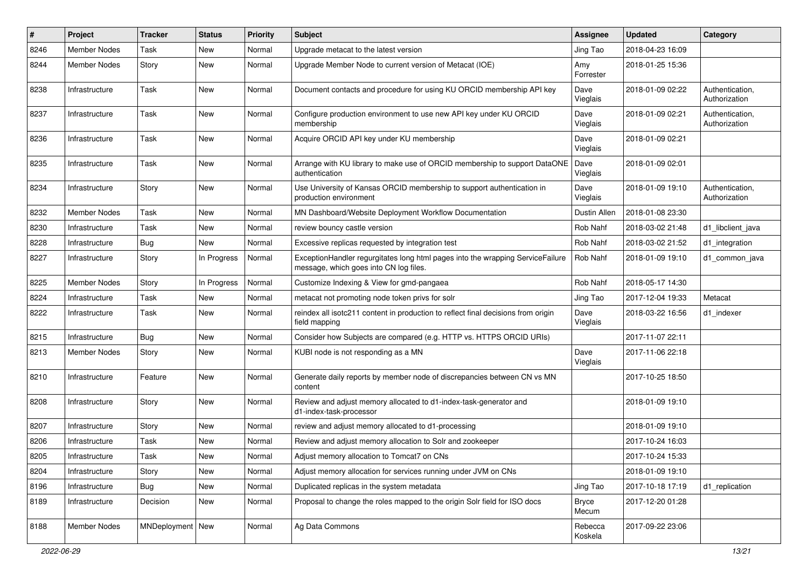| #    | Project             | <b>Tracker</b>     | <b>Status</b> | <b>Priority</b> | Subject                                                                                                                  | <b>Assignee</b>    | <b>Updated</b>   | Category                         |
|------|---------------------|--------------------|---------------|-----------------|--------------------------------------------------------------------------------------------------------------------------|--------------------|------------------|----------------------------------|
| 8246 | <b>Member Nodes</b> | Task               | New           | Normal          | Upgrade metacat to the latest version                                                                                    | Jing Tao           | 2018-04-23 16:09 |                                  |
| 8244 | <b>Member Nodes</b> | Story              | <b>New</b>    | Normal          | Upgrade Member Node to current version of Metacat (IOE)                                                                  | Amy<br>Forrester   | 2018-01-25 15:36 |                                  |
| 8238 | Infrastructure      | Task               | New           | Normal          | Document contacts and procedure for using KU ORCID membership API key                                                    | Dave<br>Vieglais   | 2018-01-09 02:22 | Authentication,<br>Authorization |
| 8237 | Infrastructure      | Task               | <b>New</b>    | Normal          | Configure production environment to use new API key under KU ORCID<br>membership                                         | Dave<br>Vieglais   | 2018-01-09 02:21 | Authentication,<br>Authorization |
| 8236 | Infrastructure      | Task               | <b>New</b>    | Normal          | Acquire ORCID API key under KU membership                                                                                | Dave<br>Vieglais   | 2018-01-09 02:21 |                                  |
| 8235 | Infrastructure      | Task               | New           | Normal          | Arrange with KU library to make use of ORCID membership to support DataONE<br>authentication                             | Dave<br>Vieglais   | 2018-01-09 02:01 |                                  |
| 8234 | Infrastructure      | Story              | New           | Normal          | Use University of Kansas ORCID membership to support authentication in<br>production environment                         | Dave<br>Vieglais   | 2018-01-09 19:10 | Authentication,<br>Authorization |
| 8232 | Member Nodes        | Task               | New           | Normal          | MN Dashboard/Website Deployment Workflow Documentation                                                                   | Dustin Allen       | 2018-01-08 23:30 |                                  |
| 8230 | Infrastructure      | Task               | New           | Normal          | review bouncy castle version                                                                                             | Rob Nahf           | 2018-03-02 21:48 | d1_libclient_java                |
| 8228 | Infrastructure      | Bug                | <b>New</b>    | Normal          | Excessive replicas requested by integration test                                                                         | Rob Nahf           | 2018-03-02 21:52 | d1_integration                   |
| 8227 | Infrastructure      | Story              | In Progress   | Normal          | ExceptionHandler regurgitates long html pages into the wrapping ServiceFailure<br>message, which goes into CN log files. | Rob Nahf           | 2018-01-09 19:10 | d1 common java                   |
| 8225 | <b>Member Nodes</b> | Story              | In Progress   | Normal          | Customize Indexing & View for gmd-pangaea                                                                                | Rob Nahf           | 2018-05-17 14:30 |                                  |
| 8224 | Infrastructure      | Task               | New           | Normal          | metacat not promoting node token privs for solr                                                                          | Jing Tao           | 2017-12-04 19:33 | Metacat                          |
| 8222 | Infrastructure      | Task               | <b>New</b>    | Normal          | reindex all isotc211 content in production to reflect final decisions from origin<br>field mapping                       | Dave<br>Vieglais   | 2018-03-22 16:56 | d1 indexer                       |
| 8215 | Infrastructure      | Bug                | New           | Normal          | Consider how Subjects are compared (e.g. HTTP vs. HTTPS ORCID URIs)                                                      |                    | 2017-11-07 22:11 |                                  |
| 8213 | Member Nodes        | Story              | <b>New</b>    | Normal          | KUBI node is not responding as a MN                                                                                      | Dave<br>Vieglais   | 2017-11-06 22:18 |                                  |
| 8210 | Infrastructure      | Feature            | New           | Normal          | Generate daily reports by member node of discrepancies between CN vs MN<br>content                                       |                    | 2017-10-25 18:50 |                                  |
| 8208 | Infrastructure      | Story              | New           | Normal          | Review and adjust memory allocated to d1-index-task-generator and<br>d1-index-task-processor                             |                    | 2018-01-09 19:10 |                                  |
| 8207 | Infrastructure      | Story              | New           | Normal          | review and adjust memory allocated to d1-processing                                                                      |                    | 2018-01-09 19:10 |                                  |
| 8206 | Infrastructure      | Task               | New           | Normal          | Review and adjust memory allocation to Solr and zookeeper                                                                |                    | 2017-10-24 16:03 |                                  |
| 8205 | Infrastructure      | Task               | New           | Normal          | Adjust memory allocation to Tomcat7 on CNs                                                                               |                    | 2017-10-24 15:33 |                                  |
| 8204 | Infrastructure      | Story              | New           | Normal          | Adjust memory allocation for services running under JVM on CNs                                                           |                    | 2018-01-09 19:10 |                                  |
| 8196 | Infrastructure      | <b>Bug</b>         | New           | Normal          | Duplicated replicas in the system metadata                                                                               | Jing Tao           | 2017-10-18 17:19 | d1_replication                   |
| 8189 | Infrastructure      | Decision           | New           | Normal          | Proposal to change the roles mapped to the origin Solr field for ISO docs                                                | Bryce<br>Mecum     | 2017-12-20 01:28 |                                  |
| 8188 | <b>Member Nodes</b> | MNDeployment   New |               | Normal          | Ag Data Commons                                                                                                          | Rebecca<br>Koskela | 2017-09-22 23:06 |                                  |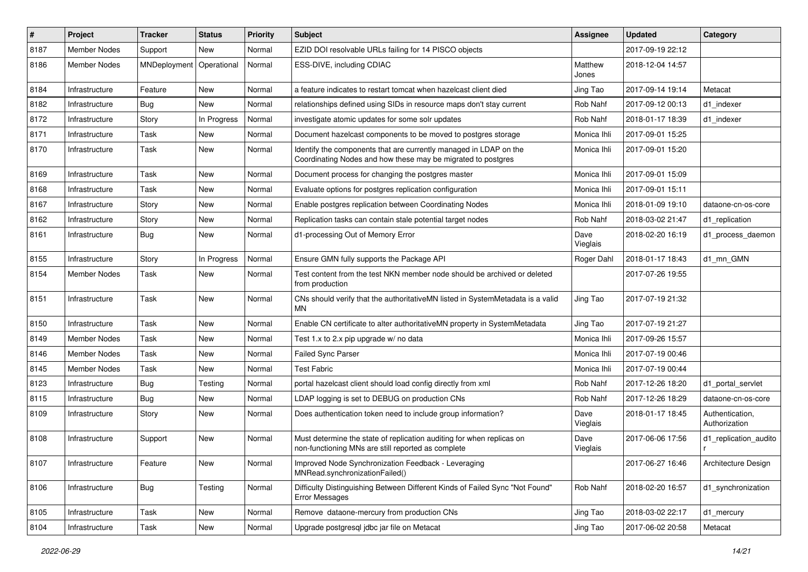| #    | Project             | <b>Tracker</b> | <b>Status</b> | <b>Priority</b> | Subject                                                                                                                           | <b>Assignee</b>  | <b>Updated</b>   | Category                         |
|------|---------------------|----------------|---------------|-----------------|-----------------------------------------------------------------------------------------------------------------------------------|------------------|------------------|----------------------------------|
| 8187 | <b>Member Nodes</b> | Support        | <b>New</b>    | Normal          | EZID DOI resolvable URLs failing for 14 PISCO objects                                                                             |                  | 2017-09-19 22:12 |                                  |
| 8186 | <b>Member Nodes</b> | MNDeployment   | Operational   | Normal          | ESS-DIVE, including CDIAC                                                                                                         | Matthew<br>Jones | 2018-12-04 14:57 |                                  |
| 8184 | Infrastructure      | Feature        | New           | Normal          | a feature indicates to restart tomcat when hazelcast client died                                                                  | Jing Tao         | 2017-09-14 19:14 | Metacat                          |
| 8182 | Infrastructure      | Bug            | <b>New</b>    | Normal          | relationships defined using SIDs in resource maps don't stay current                                                              | Rob Nahf         | 2017-09-12 00:13 | d1_indexer                       |
| 8172 | Infrastructure      | Story          | In Progress   | Normal          | investigate atomic updates for some solr updates                                                                                  | Rob Nahf         | 2018-01-17 18:39 | d1 indexer                       |
| 8171 | Infrastructure      | Task           | <b>New</b>    | Normal          | Document hazelcast components to be moved to postgres storage                                                                     | Monica Ihli      | 2017-09-01 15:25 |                                  |
| 8170 | Infrastructure      | Task           | <b>New</b>    | Normal          | Identify the components that are currently managed in LDAP on the<br>Coordinating Nodes and how these may be migrated to postgres | Monica Ihli      | 2017-09-01 15:20 |                                  |
| 8169 | Infrastructure      | Task           | <b>New</b>    | Normal          | Document process for changing the postgres master                                                                                 | Monica Ihli      | 2017-09-01 15:09 |                                  |
| 8168 | Infrastructure      | Task           | <b>New</b>    | Normal          | Evaluate options for postgres replication configuration                                                                           | Monica Ihli      | 2017-09-01 15:11 |                                  |
| 8167 | Infrastructure      | Story          | New           | Normal          | Enable postgres replication between Coordinating Nodes                                                                            | Monica Ihli      | 2018-01-09 19:10 | dataone-cn-os-core               |
| 8162 | Infrastructure      | Story          | <b>New</b>    | Normal          | Replication tasks can contain stale potential target nodes                                                                        | Rob Nahf         | 2018-03-02 21:47 | d1 replication                   |
| 8161 | Infrastructure      | <b>Bug</b>     | New           | Normal          | d1-processing Out of Memory Error                                                                                                 | Dave<br>Vieglais | 2018-02-20 16:19 | d1_process_daemon                |
| 8155 | Infrastructure      | Story          | In Progress   | Normal          | Ensure GMN fully supports the Package API                                                                                         | Roger Dahl       | 2018-01-17 18:43 | d1_mn_GMN                        |
| 8154 | Member Nodes        | Task           | New           | Normal          | Test content from the test NKN member node should be archived or deleted<br>from production                                       |                  | 2017-07-26 19:55 |                                  |
| 8151 | Infrastructure      | Task           | <b>New</b>    | Normal          | CNs should verify that the authoritativeMN listed in SystemMetadata is a valid<br>MΝ                                              | Jing Tao         | 2017-07-19 21:32 |                                  |
| 8150 | Infrastructure      | Task           | New           | Normal          | Enable CN certificate to alter authoritativeMN property in SystemMetadata                                                         | Jing Tao         | 2017-07-19 21:27 |                                  |
| 8149 | Member Nodes        | Task           | <b>New</b>    | Normal          | Test 1.x to 2.x pip upgrade w/ no data                                                                                            | Monica Ihli      | 2017-09-26 15:57 |                                  |
| 8146 | <b>Member Nodes</b> | Task           | New           | Normal          | Failed Sync Parser                                                                                                                | Monica Ihli      | 2017-07-19 00:46 |                                  |
| 8145 | <b>Member Nodes</b> | Task           | New           | Normal          | <b>Test Fabric</b>                                                                                                                | Monica Ihli      | 2017-07-19 00:44 |                                  |
| 8123 | Infrastructure      | <b>Bug</b>     | Testing       | Normal          | portal hazelcast client should load config directly from xml                                                                      | Rob Nahf         | 2017-12-26 18:20 | d1 portal servlet                |
| 8115 | Infrastructure      | <b>Bug</b>     | <b>New</b>    | Normal          | LDAP logging is set to DEBUG on production CNs                                                                                    | Rob Nahf         | 2017-12-26 18:29 | dataone-cn-os-core               |
| 8109 | Infrastructure      | Story          | New           | Normal          | Does authentication token need to include group information?                                                                      | Dave<br>Vieglais | 2018-01-17 18:45 | Authentication,<br>Authorization |
| 8108 | Infrastructure      | Support        | New           | Normal          | Must determine the state of replication auditing for when replicas on<br>non-functioning MNs are still reported as complete       | Dave<br>Vieglais | 2017-06-06 17:56 | d1_replication_audito            |
| 8107 | Infrastructure      | Feature        | New           | Normal          | Improved Node Synchronization Feedback - Leveraging<br>MNRead.synchronizationFailed()                                             |                  | 2017-06-27 16:46 | Architecture Design              |
| 8106 | Infrastructure      | Bug            | Testing       | Normal          | Difficulty Distinguishing Between Different Kinds of Failed Sync "Not Found"<br>Error Messages                                    | Rob Nahf         | 2018-02-20 16:57 | d1_synchronization               |
| 8105 | Infrastructure      | Task           | New           | Normal          | Remove dataone-mercury from production CNs                                                                                        | Jing Tao         | 2018-03-02 22:17 | d1_mercury                       |
| 8104 | Infrastructure      | Task           | New           | Normal          | Upgrade postgresql jdbc jar file on Metacat                                                                                       | Jing Tao         | 2017-06-02 20:58 | Metacat                          |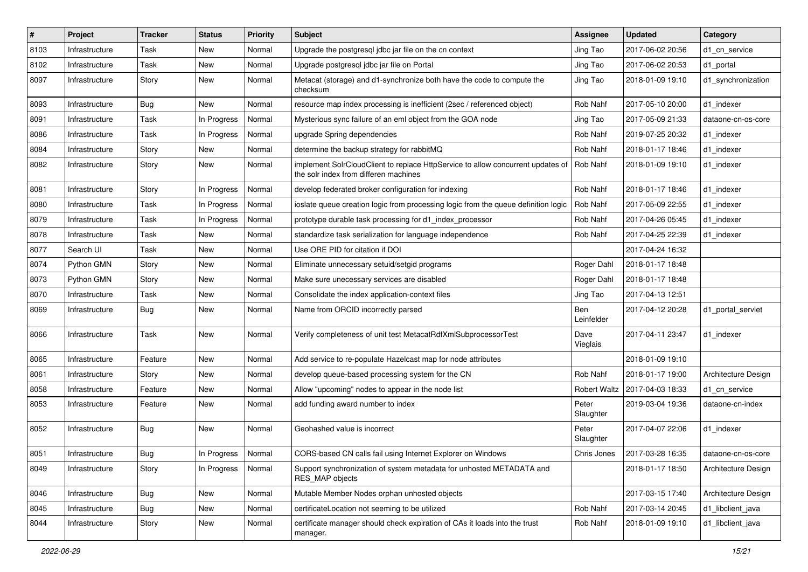| #    | <b>Project</b> | <b>Tracker</b> | <b>Status</b> | <b>Priority</b> | <b>Subject</b>                                                                                                           | <b>Assignee</b>     | <b>Updated</b>   | Category            |
|------|----------------|----------------|---------------|-----------------|--------------------------------------------------------------------------------------------------------------------------|---------------------|------------------|---------------------|
| 8103 | Infrastructure | Task           | New           | Normal          | Upgrade the postgresql jdbc jar file on the cn context                                                                   | Jing Tao            | 2017-06-02 20:56 | d1_cn_service       |
| 8102 | Infrastructure | Task           | New           | Normal          | Upgrade postgresql jdbc jar file on Portal                                                                               | Jing Tao            | 2017-06-02 20:53 | d1 portal           |
| 8097 | Infrastructure | Story          | New           | Normal          | Metacat (storage) and d1-synchronize both have the code to compute the<br>checksum                                       | Jing Tao            | 2018-01-09 19:10 | d1_synchronization  |
| 8093 | Infrastructure | <b>Bug</b>     | <b>New</b>    | Normal          | resource map index processing is inefficient (2sec / referenced object)                                                  | Rob Nahf            | 2017-05-10 20:00 | d1_indexer          |
| 8091 | Infrastructure | Task           | In Progress   | Normal          | Mysterious sync failure of an eml object from the GOA node                                                               | Jing Tao            | 2017-05-09 21:33 | dataone-cn-os-core  |
| 8086 | Infrastructure | Task           | In Progress   | Normal          | upgrade Spring dependencies                                                                                              | Rob Nahf            | 2019-07-25 20:32 | d1 indexer          |
| 8084 | Infrastructure | Story          | New           | Normal          | determine the backup strategy for rabbitMQ                                                                               | Rob Nahf            | 2018-01-17 18:46 | d1 indexer          |
| 8082 | Infrastructure | Story          | New           | Normal          | implement SolrCloudClient to replace HttpService to allow concurrent updates of<br>the solr index from differen machines | Rob Nahf            | 2018-01-09 19:10 | d1 indexer          |
| 8081 | Infrastructure | Story          | In Progress   | Normal          | develop federated broker configuration for indexing                                                                      | Rob Nahf            | 2018-01-17 18:46 | d1 indexer          |
| 8080 | Infrastructure | Task           | In Progress   | Normal          | ioslate queue creation logic from processing logic from the queue definition logic                                       | Rob Nahf            | 2017-05-09 22:55 | d1 indexer          |
| 8079 | Infrastructure | Task           | In Progress   | Normal          | prototype durable task processing for d1 index processor                                                                 | Rob Nahf            | 2017-04-26 05:45 | d1_indexer          |
| 8078 | Infrastructure | Task           | New           | Normal          | standardize task serialization for language independence                                                                 | Rob Nahf            | 2017-04-25 22:39 | d1 indexer          |
| 8077 | Search UI      | Task           | New           | Normal          | Use ORE PID for citation if DOI                                                                                          |                     | 2017-04-24 16:32 |                     |
| 8074 | Python GMN     | Story          | New           | Normal          | Eliminate unnecessary setuid/setgid programs                                                                             | Roger Dahl          | 2018-01-17 18:48 |                     |
| 8073 | Python GMN     | Story          | New           | Normal          | Make sure unecessary services are disabled                                                                               | Roger Dahl          | 2018-01-17 18:48 |                     |
| 8070 | Infrastructure | Task           | New           | Normal          | Consolidate the index application-context files                                                                          | Jing Tao            | 2017-04-13 12:51 |                     |
| 8069 | Infrastructure | <b>Bug</b>     | New           | Normal          | Name from ORCID incorrectly parsed                                                                                       | Ben<br>Leinfelder   | 2017-04-12 20:28 | d1_portal_servlet   |
| 8066 | Infrastructure | Task           | New           | Normal          | Verify completeness of unit test MetacatRdfXmlSubprocessorTest                                                           | Dave<br>Vieglais    | 2017-04-11 23:47 | d1 indexer          |
| 8065 | Infrastructure | Feature        | <b>New</b>    | Normal          | Add service to re-populate Hazelcast map for node attributes                                                             |                     | 2018-01-09 19:10 |                     |
| 8061 | Infrastructure | Story          | New           | Normal          | develop queue-based processing system for the CN                                                                         | Rob Nahf            | 2018-01-17 19:00 | Architecture Design |
| 8058 | Infrastructure | Feature        | New           | Normal          | Allow "upcoming" nodes to appear in the node list                                                                        | <b>Robert Waltz</b> | 2017-04-03 18:33 | d1_cn_service       |
| 8053 | Infrastructure | Feature        | New           | Normal          | add funding award number to index                                                                                        | Peter<br>Slaughter  | 2019-03-04 19:36 | dataone-cn-index    |
| 8052 | Infrastructure | Bug            | New           | Normal          | Geohashed value is incorrect                                                                                             | Peter<br>Slaughter  | 2017-04-07 22:06 | d1 indexer          |
| 8051 | Infrastructure | Bug            | In Progress   | Normal          | CORS-based CN calls fail using Internet Explorer on Windows                                                              | Chris Jones         | 2017-03-28 16:35 | dataone-cn-os-core  |
| 8049 | Infrastructure | Story          | In Progress   | Normal          | Support synchronization of system metadata for unhosted METADATA and<br>RES MAP objects                                  |                     | 2018-01-17 18:50 | Architecture Design |
| 8046 | Infrastructure | Bug            | New           | Normal          | Mutable Member Nodes orphan unhosted objects                                                                             |                     | 2017-03-15 17:40 | Architecture Design |
| 8045 | Infrastructure | Bug            | New           | Normal          | certificateLocation not seeming to be utilized                                                                           | Rob Nahf            | 2017-03-14 20:45 | d1_libclient_java   |
| 8044 | Infrastructure | Story          | New           | Normal          | certificate manager should check expiration of CAs it loads into the trust<br>manager.                                   | Rob Nahf            | 2018-01-09 19:10 | d1_libclient_java   |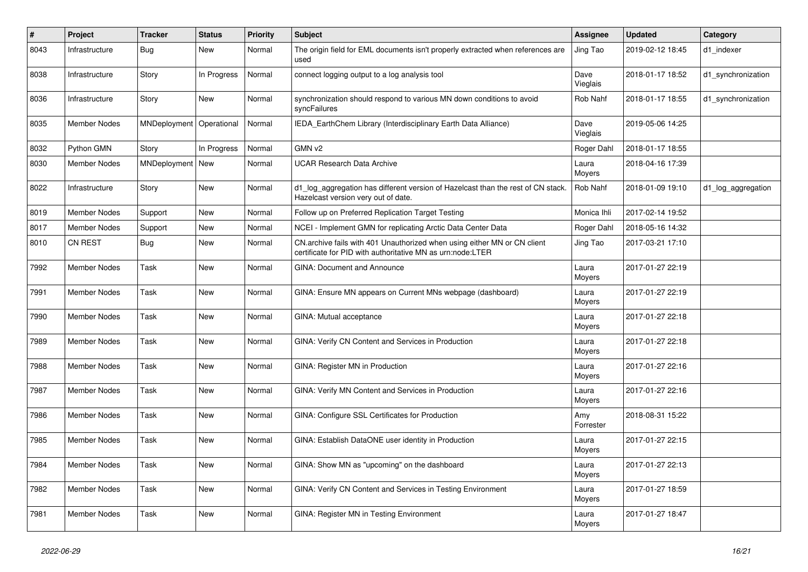| $\vert$ # | Project             | <b>Tracker</b> | <b>Status</b> | <b>Priority</b> | <b>Subject</b>                                                                                                                         | Assignee         | <b>Updated</b>   | Category           |
|-----------|---------------------|----------------|---------------|-----------------|----------------------------------------------------------------------------------------------------------------------------------------|------------------|------------------|--------------------|
| 8043      | Infrastructure      | Bug            | <b>New</b>    | Normal          | The origin field for EML documents isn't properly extracted when references are<br>used                                                | Jing Tao         | 2019-02-12 18:45 | d1 indexer         |
| 8038      | Infrastructure      | Story          | In Progress   | Normal          | connect logging output to a log analysis tool                                                                                          | Dave<br>Vieglais | 2018-01-17 18:52 | d1 synchronization |
| 8036      | Infrastructure      | Story          | New           | Normal          | synchronization should respond to various MN down conditions to avoid<br>syncFailures                                                  | Rob Nahf         | 2018-01-17 18:55 | d1 synchronization |
| 8035      | <b>Member Nodes</b> | MNDeployment   | Operational   | Normal          | IEDA_EarthChem Library (Interdisciplinary Earth Data Alliance)                                                                         | Dave<br>Vieglais | 2019-05-06 14:25 |                    |
| 8032      | Python GMN          | Story          | In Progress   | Normal          | GMN v2                                                                                                                                 | Roger Dahl       | 2018-01-17 18:55 |                    |
| 8030      | Member Nodes        | MNDeployment   | <b>New</b>    | Normal          | UCAR Research Data Archive                                                                                                             | Laura<br>Moyers  | 2018-04-16 17:39 |                    |
| 8022      | Infrastructure      | Story          | <b>New</b>    | Normal          | d1 log aggregation has different version of Hazelcast than the rest of CN stack.<br>Hazelcast version very out of date.                | Rob Nahf         | 2018-01-09 19:10 | d1 log aggregation |
| 8019      | <b>Member Nodes</b> | Support        | <b>New</b>    | Normal          | Follow up on Preferred Replication Target Testing                                                                                      | Monica Ihli      | 2017-02-14 19:52 |                    |
| 8017      | <b>Member Nodes</b> | Support        | New           | Normal          | NCEI - Implement GMN for replicating Arctic Data Center Data                                                                           | Roger Dahl       | 2018-05-16 14:32 |                    |
| 8010      | <b>CN REST</b>      | Bug            | <b>New</b>    | Normal          | CN.archive fails with 401 Unauthorized when using either MN or CN client<br>certificate for PID with authoritative MN as urn:node:LTER | Jing Tao         | 2017-03-21 17:10 |                    |
| 7992      | <b>Member Nodes</b> | Task           | <b>New</b>    | Normal          | <b>GINA: Document and Announce</b>                                                                                                     | Laura<br>Moyers  | 2017-01-27 22:19 |                    |
| 7991      | <b>Member Nodes</b> | Task           | New           | Normal          | GINA: Ensure MN appears on Current MNs webpage (dashboard)                                                                             | Laura<br>Moyers  | 2017-01-27 22:19 |                    |
| 7990      | <b>Member Nodes</b> | Task           | <b>New</b>    | Normal          | GINA: Mutual acceptance                                                                                                                | Laura<br>Moyers  | 2017-01-27 22:18 |                    |
| 7989      | <b>Member Nodes</b> | Task           | <b>New</b>    | Normal          | GINA: Verify CN Content and Services in Production                                                                                     | Laura<br>Moyers  | 2017-01-27 22:18 |                    |
| 7988      | <b>Member Nodes</b> | Task           | New           | Normal          | GINA: Register MN in Production                                                                                                        | Laura<br>Moyers  | 2017-01-27 22:16 |                    |
| 7987      | <b>Member Nodes</b> | Task           | <b>New</b>    | Normal          | GINA: Verify MN Content and Services in Production                                                                                     | Laura<br>Moyers  | 2017-01-27 22:16 |                    |
| 7986      | Member Nodes        | Task           | <b>New</b>    | Normal          | GINA: Configure SSL Certificates for Production                                                                                        | Amy<br>Forrester | 2018-08-31 15:22 |                    |
| 7985      | <b>Member Nodes</b> | Task           | <b>New</b>    | Normal          | GINA: Establish DataONE user identity in Production                                                                                    | Laura<br>Moyers  | 2017-01-27 22:15 |                    |
| 7984      | <b>Member Nodes</b> | Task           | <b>New</b>    | Normal          | GINA: Show MN as "upcoming" on the dashboard                                                                                           | Laura<br>Moyers  | 2017-01-27 22:13 |                    |
| 7982      | <b>Member Nodes</b> | Task           | <b>New</b>    | Normal          | GINA: Verify CN Content and Services in Testing Environment                                                                            | Laura<br>Moyers  | 2017-01-27 18:59 |                    |
| 7981      | <b>Member Nodes</b> | Task           | New           | Normal          | GINA: Register MN in Testing Environment                                                                                               | Laura<br>Moyers  | 2017-01-27 18:47 |                    |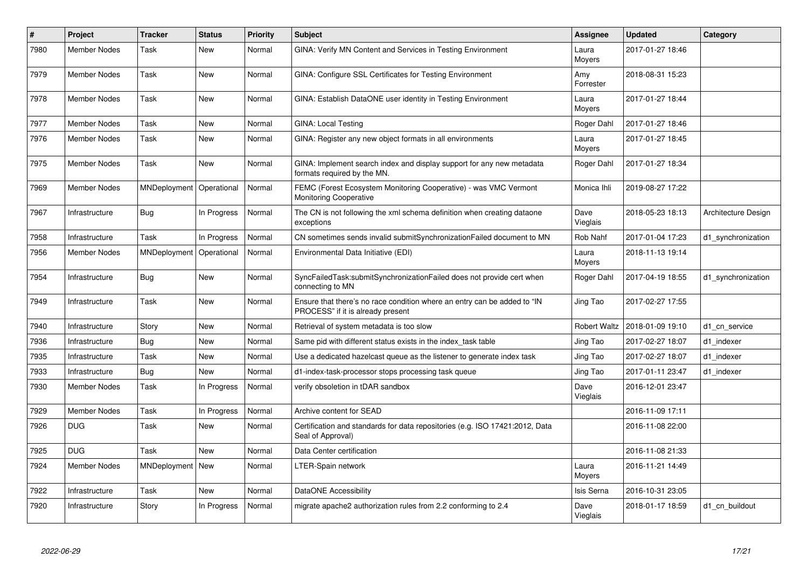| #    | Project             | <b>Tracker</b> | <b>Status</b> | <b>Priority</b> | <b>Subject</b>                                                                                                | Assignee            | <b>Updated</b>   | Category            |
|------|---------------------|----------------|---------------|-----------------|---------------------------------------------------------------------------------------------------------------|---------------------|------------------|---------------------|
| 7980 | Member Nodes        | Task           | <b>New</b>    | Normal          | GINA: Verify MN Content and Services in Testing Environment                                                   | Laura<br>Moyers     | 2017-01-27 18:46 |                     |
| 7979 | <b>Member Nodes</b> | Task           | <b>New</b>    | Normal          | GINA: Configure SSL Certificates for Testing Environment                                                      | Amy<br>Forrester    | 2018-08-31 15:23 |                     |
| 7978 | <b>Member Nodes</b> | Task           | <b>New</b>    | Normal          | GINA: Establish DataONE user identity in Testing Environment                                                  | Laura<br>Moyers     | 2017-01-27 18:44 |                     |
| 7977 | <b>Member Nodes</b> | Task           | <b>New</b>    | Normal          | <b>GINA: Local Testing</b>                                                                                    | Roger Dahl          | 2017-01-27 18:46 |                     |
| 7976 | <b>Member Nodes</b> | Task           | New           | Normal          | GINA: Register any new object formats in all environments                                                     | Laura<br>Moyers     | 2017-01-27 18:45 |                     |
| 7975 | Member Nodes        | Task           | <b>New</b>    | Normal          | GINA: Implement search index and display support for any new metadata<br>formats required by the MN.          | Roger Dahl          | 2017-01-27 18:34 |                     |
| 7969 | <b>Member Nodes</b> | MNDeployment   | Operational   | Normal          | FEMC (Forest Ecosystem Monitoring Cooperative) - was VMC Vermont<br><b>Monitoring Cooperative</b>             | Monica Ihli         | 2019-08-27 17:22 |                     |
| 7967 | Infrastructure      | Bug            | In Progress   | Normal          | The CN is not following the xml schema definition when creating dataone<br>exceptions                         | Dave<br>Vieglais    | 2018-05-23 18:13 | Architecture Design |
| 7958 | Infrastructure      | Task           | In Progress   | Normal          | CN sometimes sends invalid submitSynchronizationFailed document to MN                                         | Rob Nahf            | 2017-01-04 17:23 | d1 synchronization  |
| 7956 | Member Nodes        | MNDeployment   | Operational   | Normal          | Environmental Data Initiative (EDI)                                                                           | Laura<br>Moyers     | 2018-11-13 19:14 |                     |
| 7954 | Infrastructure      | Bug            | <b>New</b>    | Normal          | SyncFailedTask:submitSynchronizationFailed does not provide cert when<br>connecting to MN                     | Roger Dahl          | 2017-04-19 18:55 | d1_synchronization  |
| 7949 | Infrastructure      | Task           | <b>New</b>    | Normal          | Ensure that there's no race condition where an entry can be added to "IN<br>PROCESS" if it is already present | Jing Tao            | 2017-02-27 17:55 |                     |
| 7940 | Infrastructure      | Story          | <b>New</b>    | Normal          | Retrieval of system metadata is too slow                                                                      | <b>Robert Waltz</b> | 2018-01-09 19:10 | d1_cn_service       |
| 7936 | Infrastructure      | Bug            | <b>New</b>    | Normal          | Same pid with different status exists in the index task table                                                 | Jing Tao            | 2017-02-27 18:07 | d1 indexer          |
| 7935 | Infrastructure      | Task           | <b>New</b>    | Normal          | Use a dedicated hazelcast queue as the listener to generate index task                                        | Jing Tao            | 2017-02-27 18:07 | d1 indexer          |
| 7933 | Infrastructure      | Bug            | <b>New</b>    | Normal          | d1-index-task-processor stops processing task queue                                                           | Jing Tao            | 2017-01-11 23:47 | d1 indexer          |
| 7930 | <b>Member Nodes</b> | Task           | In Progress   | Normal          | verify obsoletion in tDAR sandbox                                                                             | Dave<br>Vieglais    | 2016-12-01 23:47 |                     |
| 7929 | <b>Member Nodes</b> | Task           | In Progress   | Normal          | Archive content for SEAD                                                                                      |                     | 2016-11-09 17:11 |                     |
| 7926 | <b>DUG</b>          | Task           | New           | Normal          | Certification and standards for data repositories (e.g. ISO 17421:2012, Data<br>Seal of Approval)             |                     | 2016-11-08 22:00 |                     |
| 7925 | <b>DUG</b>          | Task           | <b>New</b>    | Normal          | Data Center certification                                                                                     |                     | 2016-11-08 21:33 |                     |
| 7924 | <b>Member Nodes</b> | MNDeployment   | New           | Normal          | LTER-Spain network                                                                                            | Laura<br>Moyers     | 2016-11-21 14:49 |                     |
| 7922 | Infrastructure      | Task           | <b>New</b>    | Normal          | DataONE Accessibility                                                                                         | Isis Serna          | 2016-10-31 23:05 |                     |
| 7920 | Infrastructure      | Story          | In Progress   | Normal          | migrate apache2 authorization rules from 2.2 conforming to 2.4                                                | Dave<br>Vieglais    | 2018-01-17 18:59 | d1 cn buildout      |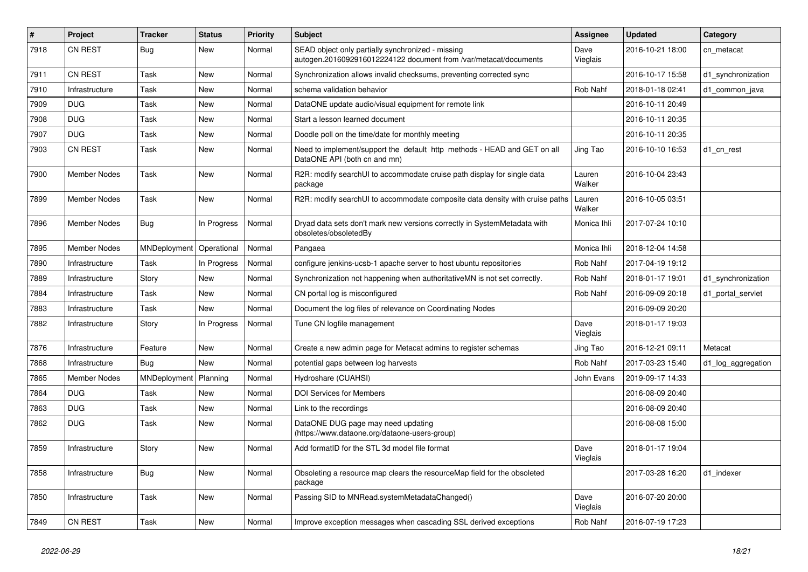| #    | Project             | <b>Tracker</b>          | <b>Status</b> | <b>Priority</b> | <b>Subject</b>                                                                                                        | <b>Assignee</b>  | <b>Updated</b>   | Category           |
|------|---------------------|-------------------------|---------------|-----------------|-----------------------------------------------------------------------------------------------------------------------|------------------|------------------|--------------------|
| 7918 | <b>CN REST</b>      | <b>Bug</b>              | New           | Normal          | SEAD object only partially synchronized - missing<br>autogen.2016092916012224122 document from /var/metacat/documents | Dave<br>Vieglais | 2016-10-21 18:00 | cn_metacat         |
| 7911 | CN REST             | Task                    | New           | Normal          | Synchronization allows invalid checksums, preventing corrected sync                                                   |                  | 2016-10-17 15:58 | d1 synchronization |
| 7910 | Infrastructure      | Task                    | New           | Normal          | schema validation behavior                                                                                            | Rob Nahf         | 2018-01-18 02:41 | d1 common java     |
| 7909 | <b>DUG</b>          | Task                    | <b>New</b>    | Normal          | DataONE update audio/visual equipment for remote link                                                                 |                  | 2016-10-11 20:49 |                    |
| 7908 | <b>DUG</b>          | Task                    | New           | Normal          | Start a lesson learned document                                                                                       |                  | 2016-10-11 20:35 |                    |
| 7907 | <b>DUG</b>          | Task                    | <b>New</b>    | Normal          | Doodle poll on the time/date for monthly meeting                                                                      |                  | 2016-10-11 20:35 |                    |
| 7903 | CN REST             | Task                    | New           | Normal          | Need to implement/support the default http methods - HEAD and GET on all<br>DataONE API (both cn and mn)              | Jing Tao         | 2016-10-10 16:53 | d1 cn rest         |
| 7900 | Member Nodes        | Task                    | New           | Normal          | R2R: modify searchUI to accommodate cruise path display for single data<br>package                                    | Lauren<br>Walker | 2016-10-04 23:43 |                    |
| 7899 | <b>Member Nodes</b> | Task                    | New           | Normal          | R2R: modify searchUI to accommodate composite data density with cruise paths                                          | Lauren<br>Walker | 2016-10-05 03:51 |                    |
| 7896 | Member Nodes        | Bug                     | In Progress   | Normal          | Dryad data sets don't mark new versions correctly in SystemMetadata with<br>obsoletes/obsoletedBy                     | Monica Ihli      | 2017-07-24 10:10 |                    |
| 7895 | Member Nodes        | MNDeployment            | Operational   | Normal          | Pangaea                                                                                                               | Monica Ihli      | 2018-12-04 14:58 |                    |
| 7890 | Infrastructure      | Task                    | In Progress   | Normal          | configure jenkins-ucsb-1 apache server to host ubuntu repositories                                                    | Rob Nahf         | 2017-04-19 19:12 |                    |
| 7889 | Infrastructure      | Story                   | <b>New</b>    | Normal          | Synchronization not happening when authoritativeMN is not set correctly.                                              | Rob Nahf         | 2018-01-17 19:01 | d1_synchronization |
| 7884 | Infrastructure      | Task                    | New           | Normal          | CN portal log is misconfigured                                                                                        | Rob Nahf         | 2016-09-09 20:18 | d1 portal servlet  |
| 7883 | Infrastructure      | Task                    | New           | Normal          | Document the log files of relevance on Coordinating Nodes                                                             |                  | 2016-09-09 20:20 |                    |
| 7882 | Infrastructure      | Story                   | In Progress   | Normal          | Tune CN logfile management                                                                                            | Dave<br>Vieglais | 2018-01-17 19:03 |                    |
| 7876 | Infrastructure      | Feature                 | <b>New</b>    | Normal          | Create a new admin page for Metacat admins to register schemas                                                        | Jing Tao         | 2016-12-21 09:11 | Metacat            |
| 7868 | Infrastructure      | Bug                     | <b>New</b>    | Normal          | potential gaps between log harvests                                                                                   | Rob Nahf         | 2017-03-23 15:40 | d1_log_aggregation |
| 7865 | Member Nodes        | MNDeployment   Planning |               | Normal          | Hydroshare (CUAHSI)                                                                                                   | John Evans       | 2019-09-17 14:33 |                    |
| 7864 | <b>DUG</b>          | Task                    | New           | Normal          | <b>DOI Services for Members</b>                                                                                       |                  | 2016-08-09 20:40 |                    |
| 7863 | <b>DUG</b>          | Task                    | New           | Normal          | Link to the recordings                                                                                                |                  | 2016-08-09 20:40 |                    |
| 7862 | <b>DUG</b>          | Task                    | New           | Normal          | DataONE DUG page may need updating<br>(https://www.dataone.org/dataone-users-group)                                   |                  | 2016-08-08 15:00 |                    |
| 7859 | Infrastructure      | Story                   | New           | Normal          | Add formatID for the STL 3d model file format                                                                         | Dave<br>Vieglais | 2018-01-17 19:04 |                    |
| 7858 | Infrastructure      | <b>Bug</b>              | New           | Normal          | Obsoleting a resource map clears the resourceMap field for the obsoleted<br>package                                   |                  | 2017-03-28 16:20 | d1 indexer         |
| 7850 | Infrastructure      | Task                    | New           | Normal          | Passing SID to MNRead.systemMetadataChanged()                                                                         | Dave<br>Vieglais | 2016-07-20 20:00 |                    |
| 7849 | CN REST             | Task                    | New           | Normal          | Improve exception messages when cascading SSL derived exceptions                                                      | Rob Nahf         | 2016-07-19 17:23 |                    |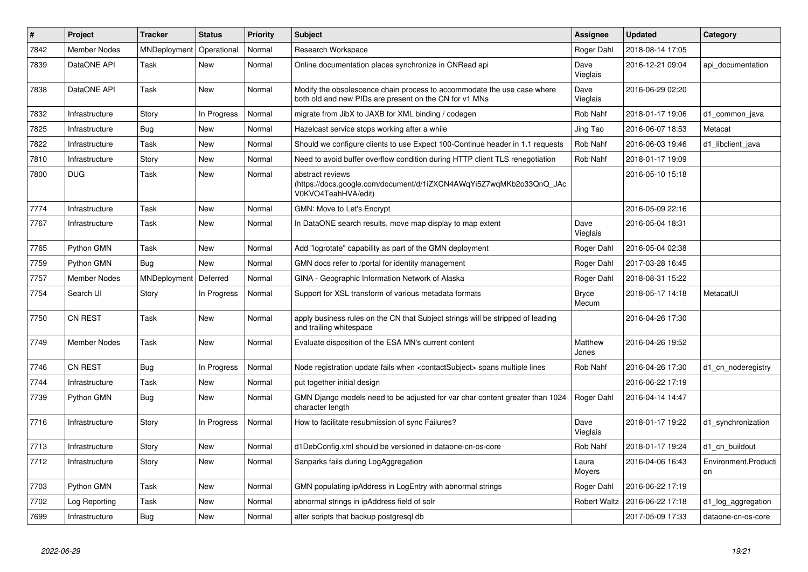| #    | <b>Project</b>      | <b>Tracker</b> | <b>Status</b> | <b>Priority</b> | <b>Subject</b>                                                                                                                    | Assignee              | <b>Updated</b>   | Category                   |
|------|---------------------|----------------|---------------|-----------------|-----------------------------------------------------------------------------------------------------------------------------------|-----------------------|------------------|----------------------------|
| 7842 | <b>Member Nodes</b> | MNDeployment   | Operational   | Normal          | Research Workspace                                                                                                                | Roger Dahl            | 2018-08-14 17:05 |                            |
| 7839 | DataONE API         | Task           | <b>New</b>    | Normal          | Online documentation places synchronize in CNRead api                                                                             | Dave<br>Vieglais      | 2016-12-21 09:04 | api documentation          |
| 7838 | DataONE API         | Task           | <b>New</b>    | Normal          | Modify the obsolescence chain process to accommodate the use case where<br>both old and new PIDs are present on the CN for v1 MNs | Dave<br>Vieglais      | 2016-06-29 02:20 |                            |
| 7832 | Infrastructure      | Story          | In Progress   | Normal          | migrate from JibX to JAXB for XML binding / codegen                                                                               | Rob Nahf              | 2018-01-17 19:06 | d1 common java             |
| 7825 | Infrastructure      | Bug            | <b>New</b>    | Normal          | Hazelcast service stops working after a while                                                                                     | Jing Tao              | 2016-06-07 18:53 | Metacat                    |
| 7822 | Infrastructure      | Task           | New           | Normal          | Should we configure clients to use Expect 100-Continue header in 1.1 requests                                                     | Rob Nahf              | 2016-06-03 19:46 | d1 libclient java          |
| 7810 | Infrastructure      | Story          | <b>New</b>    | Normal          | Need to avoid buffer overflow condition during HTTP client TLS renegotiation                                                      | Rob Nahf              | 2018-01-17 19:09 |                            |
| 7800 | <b>DUG</b>          | Task           | New           | Normal          | abstract reviews<br>(https://docs.google.com/document/d/1iZXCN4AWqYi5Z7wqMKb2o33QnQ_JAc<br>V0KVO4TeahHVA/edit)                    |                       | 2016-05-10 15:18 |                            |
| 7774 | Infrastructure      | Task           | <b>New</b>    | Normal          | GMN: Move to Let's Encrypt                                                                                                        |                       | 2016-05-09 22:16 |                            |
| 7767 | Infrastructure      | Task           | <b>New</b>    | Normal          | In DataONE search results, move map display to map extent                                                                         | Dave<br>Vieglais      | 2016-05-04 18:31 |                            |
| 7765 | Python GMN          | Task           | <b>New</b>    | Normal          | Add "logrotate" capability as part of the GMN deployment                                                                          | Roger Dahl            | 2016-05-04 02:38 |                            |
| 7759 | Python GMN          | Bug            | <b>New</b>    | Normal          | GMN docs refer to /portal for identity management                                                                                 | Roger Dahl            | 2017-03-28 16:45 |                            |
| 7757 | <b>Member Nodes</b> | MNDeployment   | Deferred      | Normal          | GINA - Geographic Information Network of Alaska                                                                                   | Roger Dahl            | 2018-08-31 15:22 |                            |
| 7754 | Search UI           | Story          | In Progress   | Normal          | Support for XSL transform of various metadata formats                                                                             | <b>Bryce</b><br>Mecum | 2018-05-17 14:18 | MetacatUI                  |
| 7750 | <b>CN REST</b>      | Task           | <b>New</b>    | Normal          | apply business rules on the CN that Subject strings will be stripped of leading<br>and trailing whitespace                        |                       | 2016-04-26 17:30 |                            |
| 7749 | <b>Member Nodes</b> | Task           | <b>New</b>    | Normal          | Evaluate disposition of the ESA MN's current content                                                                              | Matthew<br>Jones      | 2016-04-26 19:52 |                            |
| 7746 | <b>CN REST</b>      | Bug            | In Progress   | Normal          | Node registration update fails when <contactsubject> spans multiple lines</contactsubject>                                        | Rob Nahf              | 2016-04-26 17:30 | d1 cn noderegistry         |
| 7744 | Infrastructure      | Task           | <b>New</b>    | Normal          | put together initial design                                                                                                       |                       | 2016-06-22 17:19 |                            |
| 7739 | Python GMN          | Bug            | New           | Normal          | GMN Django models need to be adjusted for var char content greater than 1024<br>character length                                  | Roger Dahl            | 2016-04-14 14:47 |                            |
| 7716 | Infrastructure      | Story          | In Progress   | Normal          | How to facilitate resubmission of sync Failures?                                                                                  | Dave<br>Vieglais      | 2018-01-17 19:22 | d1 synchronization         |
| 7713 | Infrastructure      | Story          | <b>New</b>    | Normal          | d1DebConfig.xml should be versioned in dataone-cn-os-core                                                                         | Rob Nahf              | 2018-01-17 19:24 | d1 cn buildout             |
| 7712 | Infrastructure      | Story          | <b>New</b>    | Normal          | Sanparks fails during LogAggregation                                                                                              | Laura<br>Moyers       | 2016-04-06 16:43 | Environment.Producti<br>on |
| 7703 | Python GMN          | Task           | <b>New</b>    | Normal          | GMN populating ipAddress in LogEntry with abnormal strings                                                                        | Roger Dahl            | 2016-06-22 17:19 |                            |
| 7702 | Log Reporting       | Task           | <b>New</b>    | Normal          | abnormal strings in ipAddress field of solr                                                                                       | <b>Robert Waltz</b>   | 2016-06-22 17:18 | d1 log aggregation         |
| 7699 | Infrastructure      | <b>Bug</b>     | <b>New</b>    | Normal          | alter scripts that backup postgresql db                                                                                           |                       | 2017-05-09 17:33 | dataone-cn-os-core         |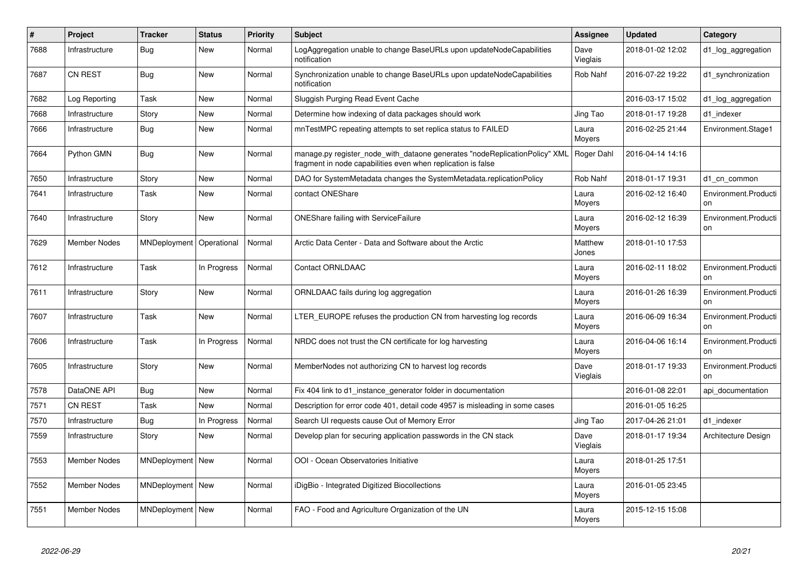| #    | Project             | <b>Tracker</b>     | <b>Status</b> | <b>Priority</b> | <b>Subject</b>                                                                                                                             | Assignee         | <b>Updated</b>   | Category                   |
|------|---------------------|--------------------|---------------|-----------------|--------------------------------------------------------------------------------------------------------------------------------------------|------------------|------------------|----------------------------|
| 7688 | Infrastructure      | <b>Bug</b>         | New           | Normal          | LogAggregation unable to change BaseURLs upon updateNodeCapabilities<br>notification                                                       | Dave<br>Vieglais | 2018-01-02 12:02 | d1 log aggregation         |
| 7687 | <b>CN REST</b>      | Bug                | New           | Normal          | Synchronization unable to change BaseURLs upon updateNodeCapabilities<br>notification                                                      | Rob Nahf         | 2016-07-22 19:22 | d1_synchronization         |
| 7682 | Log Reporting       | Task               | <b>New</b>    | Normal          | Sluggish Purging Read Event Cache                                                                                                          |                  | 2016-03-17 15:02 | d1_log_aggregation         |
| 7668 | Infrastructure      | Story              | <b>New</b>    | Normal          | Determine how indexing of data packages should work                                                                                        | Jing Tao         | 2018-01-17 19:28 | d1 indexer                 |
| 7666 | Infrastructure      | Bug                | <b>New</b>    | Normal          | mnTestMPC repeating attempts to set replica status to FAILED                                                                               | Laura<br>Moyers  | 2016-02-25 21:44 | Environment.Stage1         |
| 7664 | Python GMN          | Bug                | New           | Normal          | manage.py register_node_with_dataone generates "nodeReplicationPolicy" XML<br>fragment in node capabilities even when replication is false | Roger Dahl       | 2016-04-14 14:16 |                            |
| 7650 | Infrastructure      | Story              | <b>New</b>    | Normal          | DAO for SystemMetadata changes the SystemMetadata.replicationPolicy                                                                        | Rob Nahf         | 2018-01-17 19:31 | d1 cn common               |
| 7641 | Infrastructure      | Task               | <b>New</b>    | Normal          | contact ONEShare                                                                                                                           | Laura<br>Moyers  | 2016-02-12 16:40 | Environment.Producti<br>on |
| 7640 | Infrastructure      | Story              | New           | Normal          | <b>ONEShare failing with ServiceFailure</b>                                                                                                | Laura<br>Moyers  | 2016-02-12 16:39 | Environment.Producti<br>on |
| 7629 | <b>Member Nodes</b> | MNDeployment       | Operational   | Normal          | Arctic Data Center - Data and Software about the Arctic                                                                                    | Matthew<br>Jones | 2018-01-10 17:53 |                            |
| 7612 | Infrastructure      | Task               | In Progress   | Normal          | <b>Contact ORNLDAAC</b>                                                                                                                    | Laura<br>Moyers  | 2016-02-11 18:02 | Environment.Producti<br>on |
| 7611 | Infrastructure      | Story              | <b>New</b>    | Normal          | ORNLDAAC fails during log aggregation                                                                                                      | Laura<br>Moyers  | 2016-01-26 16:39 | Environment.Producti<br>on |
| 7607 | Infrastructure      | Task               | New           | Normal          | LTER EUROPE refuses the production CN from harvesting log records                                                                          | Laura<br>Moyers  | 2016-06-09 16:34 | Environment.Producti<br>on |
| 7606 | Infrastructure      | Task               | In Progress   | Normal          | NRDC does not trust the CN certificate for log harvesting                                                                                  | Laura<br>Moyers  | 2016-04-06 16:14 | Environment.Producti<br>on |
| 7605 | Infrastructure      | Story              | <b>New</b>    | Normal          | MemberNodes not authorizing CN to harvest log records                                                                                      | Dave<br>Vieglais | 2018-01-17 19:33 | Environment.Producti<br>on |
| 7578 | DataONE API         | <b>Bug</b>         | <b>New</b>    | Normal          | Fix 404 link to d1_instance_generator folder in documentation                                                                              |                  | 2016-01-08 22:01 | api documentation          |
| 7571 | <b>CN REST</b>      | Task               | <b>New</b>    | Normal          | Description for error code 401, detail code 4957 is misleading in some cases                                                               |                  | 2016-01-05 16:25 |                            |
| 7570 | Infrastructure      | Bug                | In Progress   | Normal          | Search UI requests cause Out of Memory Error                                                                                               | Jing Tao         | 2017-04-26 21:01 | d1 indexer                 |
| 7559 | Infrastructure      | Story              | <b>New</b>    | Normal          | Develop plan for securing application passwords in the CN stack                                                                            | Dave<br>Vieglais | 2018-01-17 19:34 | Architecture Design        |
| 7553 | <b>Member Nodes</b> | MNDeployment   New |               | Normal          | OOI - Ocean Observatories Initiative                                                                                                       | Laura<br>Moyers  | 2018-01-25 17:51 |                            |
| 7552 | <b>Member Nodes</b> | MNDeployment   New |               | Normal          | iDigBio - Integrated Digitized Biocollections                                                                                              | Laura<br>Moyers  | 2016-01-05 23:45 |                            |
| 7551 | Member Nodes        | MNDeployment   New |               | Normal          | FAO - Food and Agriculture Organization of the UN                                                                                          | Laura<br>Moyers  | 2015-12-15 15:08 |                            |